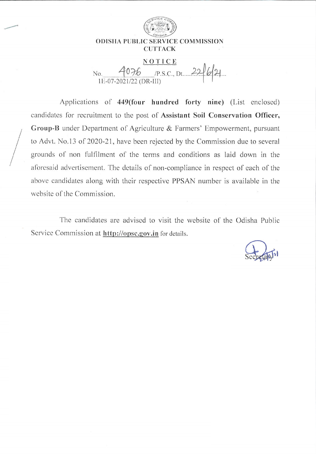

#### **ODISHA PUBLIC SERVICE COMMISSION CUTTACK**

# NOTICE 10. 4076 p.s.c., Dt. 22/6/21 No.

Applications of 449(four hundred forty nine) (List enclosed) candidates for recruitment to the post of Assistant Soil Conservation Officer, Group-B under Department of Agriculture & Farmers' Empowerment, pursuant to Advt. No.13 of 2020-21, have been rejected by the Commission due to several grounds of non fulfilment of the terms and conditions as laid down in the aforesaid advertisement. The details of non-compliance in respect of each of the above candidates along with their respective PPSAN number is available in the website of the Commission.

The candidates are advised to visit the website of the Odisha Public Service Commission at http://opsc.gov.in for details.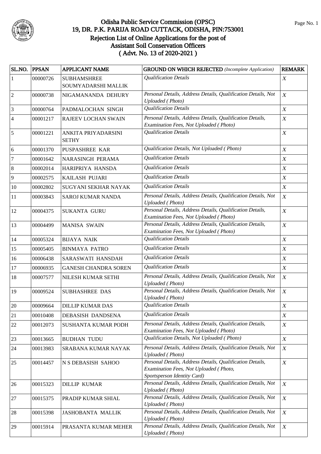

| SL.NO. PPSAN   |          | <b>APPLICANT NAME</b>                     | <b>GROUND ON WHICH REJECTED</b> (Incomplete Application)                                                                           | <b>REMARK</b>    |
|----------------|----------|-------------------------------------------|------------------------------------------------------------------------------------------------------------------------------------|------------------|
| $\mathbf{1}$   | 00000726 | <b>SUBHAMSHREE</b><br>SOUMYADARSHI MALLIK | <b>Qualification Details</b>                                                                                                       | $\boldsymbol{X}$ |
| $\overline{2}$ | 00000738 | NIGAMANANDA DEHURY                        | Personal Details, Address Details, Qualification Details, Not<br><b>Uploaded</b> (Photo)                                           | $\boldsymbol{X}$ |
| $\mathfrak{Z}$ | 00000764 | PADMALOCHAN SINGH                         | <b>Qualification Details</b>                                                                                                       | $\boldsymbol{X}$ |
| $\overline{4}$ | 00001217 | RAJEEV LOCHAN SWAIN                       | Personal Details, Address Details, Qualification Details,<br>Examination Fees, Not Uploaded (Photo)                                | $\boldsymbol{X}$ |
| 5              | 00001221 | ANKITA PRIYADARSINI<br><b>SETHY</b>       | <b>Qualification Details</b>                                                                                                       | $\boldsymbol{X}$ |
| $\sqrt{6}$     | 00001370 | PUSPASHREE KAR                            | Qualification Details, Not Uploaded (Photo)                                                                                        | $\boldsymbol{X}$ |
| $\tau$         | 00001642 | NARASINGH PERAMA                          | <b>Qualification Details</b>                                                                                                       | $\boldsymbol{X}$ |
| $8\,$          | 00002014 | HARIPRIYA HANSDA                          | <b>Qualification Details</b>                                                                                                       | $\boldsymbol{X}$ |
| 9              | 00002575 | KAILASH PUJARI                            | <b>Qualification Details</b>                                                                                                       | $\boldsymbol{X}$ |
| 10             | 00002802 | SUGYANI SEKHAR NAYAK                      | <b>Qualification Details</b>                                                                                                       | $\boldsymbol{X}$ |
| 11             | 00003843 | SAROJ KUMAR NANDA                         | Personal Details, Address Details, Qualification Details, Not<br><b>Uploaded</b> (Photo)                                           | $\boldsymbol{X}$ |
| 12             | 00004375 | SUKANTA GURU                              | Personal Details, Address Details, Qualification Details,<br>Examination Fees, Not Uploaded (Photo)                                | $\boldsymbol{X}$ |
| 13             | 00004499 | <b>MANISA SWAIN</b>                       | Personal Details, Address Details, Qualification Details,<br>Examination Fees, Not Uploaded (Photo)                                | X                |
| 14             | 00005324 | <b>BIJAYA NAIK</b>                        | <b>Qualification Details</b>                                                                                                       | $\boldsymbol{X}$ |
| 15             | 00005405 | <b>BINMAYA PATRO</b>                      | <b>Qualification Details</b>                                                                                                       | $\boldsymbol{X}$ |
| 16             | 00006438 | SARASWATI HANSDAH                         | <b>Qualification Details</b>                                                                                                       | $\boldsymbol{X}$ |
| 17             | 00006935 | <b>GANESH CHANDRA SOREN</b>               | <b>Qualification Details</b>                                                                                                       | $\boldsymbol{X}$ |
| 18             | 00007577 | NILESH KUMAR SETHI                        | Personal Details, Address Details, Qualification Details, Not<br><b>Uploaded</b> (Photo)                                           | X                |
| 19             | 00009524 | <b>SUBHASHREE DAS</b>                     | Personal Details, Address Details, Qualification Details, Not<br><b>Uploaded</b> (Photo)                                           | $\boldsymbol{X}$ |
| 20             | 00009664 | <b>DILLIP KUMAR DAS</b>                   | <b>Qualification Details</b>                                                                                                       | $\overline{X}$   |
| 21             | 00010408 | DEBASISH DANDSENA                         | <b>Qualification Details</b>                                                                                                       | $\boldsymbol{X}$ |
| 22             | 00012073 | SUSHANTA KUMAR PODH                       | Personal Details, Address Details, Qualification Details,<br>Examination Fees, Not Uploaded (Photo)                                | $\boldsymbol{X}$ |
| 23             | 00013665 | <b>BUDHAN TUDU</b>                        | Qualification Details, Not Uploaded (Photo)                                                                                        | $\boldsymbol{X}$ |
| 24             | 00013983 | SRABANA KUMAR NAYAK                       | Personal Details, Address Details, Qualification Details, Not<br>Uploaded (Photo)                                                  | $\boldsymbol{X}$ |
| $25\,$         | 00014457 | N S DEBASISH SAHOO                        | Personal Details, Address Details, Qualification Details,<br>Examination Fees, Not Uploaded (Photo,<br>Sportsperson Identity Card) | $\boldsymbol{X}$ |
| 26             | 00015323 | <b>DILLIP KUMAR</b>                       | Personal Details, Address Details, Qualification Details, Not<br><b>Uploaded</b> (Photo)                                           | $\boldsymbol{X}$ |
| 27             | 00015375 | PRADIP KUMAR SHIAL                        | Personal Details, Address Details, Qualification Details, Not<br>Uploaded (Photo)                                                  | $\boldsymbol{X}$ |
| 28             | 00015398 | <b>JASHOBANTA MALLIK</b>                  | Personal Details, Address Details, Qualification Details, Not<br><b>Uploaded</b> (Photo)                                           | $\boldsymbol{X}$ |
| 29             | 00015914 | PRASANTA KUMAR MEHER                      | Personal Details, Address Details, Qualification Details, Not<br><b>Uploaded</b> (Photo)                                           | $\boldsymbol{X}$ |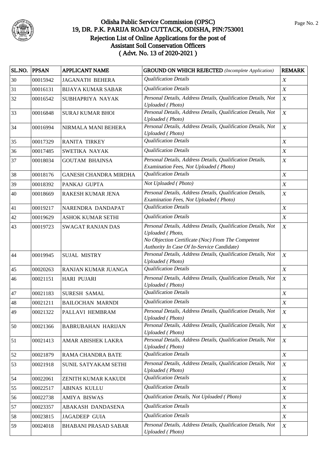

| SL.NO. PPSAN |          | <b>APPLICANT NAME</b>        | <b>GROUND ON WHICH REJECTED</b> (Incomplete Application)                                                                                                                             | <b>REMARK</b>    |
|--------------|----------|------------------------------|--------------------------------------------------------------------------------------------------------------------------------------------------------------------------------------|------------------|
| 30           | 00015942 | <b>JAGANATH BEHERA</b>       | <b>Qualification Details</b>                                                                                                                                                         | $\boldsymbol{X}$ |
| 31           | 00016131 | <b>BIJAYA KUMAR SABAR</b>    | <b>Qualification Details</b>                                                                                                                                                         | $\boldsymbol{X}$ |
| 32           | 00016542 | SUBHAPRIYA NAYAK             | Personal Details, Address Details, Qualification Details, Not<br><b>Uploaded</b> (Photo)                                                                                             | $\boldsymbol{X}$ |
| 33           | 00016848 | <b>SURAJ KUMAR BHOI</b>      | Personal Details, Address Details, Qualification Details, Not<br><b>Uploaded</b> (Photo)                                                                                             | $\boldsymbol{X}$ |
| 34           | 00016994 | NIRMALA MANI BEHERA          | Personal Details, Address Details, Qualification Details, Not<br><b>Uploaded</b> (Photo)                                                                                             | $\boldsymbol{X}$ |
| 35           | 00017329 | <b>RANITA TIRKEY</b>         | <b>Qualification Details</b>                                                                                                                                                         | $\boldsymbol{X}$ |
| 36           | 00017485 | SWETIKA NAYAK                | <b>Qualification Details</b>                                                                                                                                                         | $\boldsymbol{X}$ |
| 37           | 00018034 | <b>GOUTAM BHAINSA</b>        | Personal Details, Address Details, Qualification Details,<br>Examination Fees, Not Uploaded (Photo)                                                                                  | $\boldsymbol{X}$ |
| 38           | 00018176 | <b>GANESH CHANDRA MIRDHA</b> | <b>Qualification Details</b>                                                                                                                                                         | $\boldsymbol{X}$ |
| 39           | 00018392 | PANKAJ GUPTA                 | Not Uploaded (Photo)                                                                                                                                                                 | $\boldsymbol{X}$ |
| 40           | 00018669 | RAKESH KUMAR JENA            | Personal Details, Address Details, Qualification Details,<br>Examination Fees, Not Uploaded (Photo)                                                                                  | $\boldsymbol{X}$ |
| 41           | 00019217 | NARENDRA DANDAPAT            | <b>Qualification Details</b>                                                                                                                                                         | $\boldsymbol{X}$ |
| 42           | 00019629 | <b>ASHOK KUMAR SETHI</b>     | <b>Qualification Details</b>                                                                                                                                                         | $\boldsymbol{X}$ |
| 43           | 00019723 | <b>SWAGAT RANJAN DAS</b>     | Personal Details, Address Details, Qualification Details, Not<br>Uploaded (Photo,<br>No Objection Certificate (Noc) From The Competent<br>Authority In Case Of In-Service Candidate) | $\boldsymbol{X}$ |
| 44           | 00019945 | <b>SUJAL MISTRY</b>          | Personal Details, Address Details, Qualification Details, Not<br><b>Uploaded</b> (Photo)                                                                                             | $\boldsymbol{X}$ |
| 45           | 00020263 | RANJAN KUMAR JUANGA          | <b>Qualification Details</b>                                                                                                                                                         | $\boldsymbol{X}$ |
| 46           | 00021151 | <b>HARI PUJARI</b>           | Personal Details, Address Details, Qualification Details, Not<br><b>Uploaded</b> (Photo)                                                                                             | $\boldsymbol{X}$ |
| 47           | 00021183 | <b>SURESH SAMAL</b>          | <b>Qualification Details</b>                                                                                                                                                         | $\boldsymbol{X}$ |
| 48           | 00021211 | <b>BAILOCHAN MARNDI</b>      | <b>Qualification Details</b>                                                                                                                                                         | $\boldsymbol{X}$ |
| 49           | 00021322 | PALLAVI HEMBRAM              | Personal Details, Address Details, Qualification Details, Not<br><b>Uploaded</b> (Photo)                                                                                             | $\boldsymbol{X}$ |
| 50           | 00021366 | <b>BABRUBAHAN HARIJAN</b>    | Personal Details, Address Details, Qualification Details, Not<br><b>Uploaded</b> (Photo)                                                                                             | $\boldsymbol{X}$ |
| 51           | 00021413 | AMAR ABISHEK LAKRA           | Personal Details, Address Details, Qualification Details, Not<br><b>Uploaded</b> (Photo)                                                                                             | $\boldsymbol{X}$ |
| 52           | 00021879 | RAMA CHANDRA BATE            | <b>Qualification Details</b>                                                                                                                                                         | $\boldsymbol{X}$ |
| 53           | 00021918 | SUNIL SATYAKAM SETHI         | Personal Details, Address Details, Qualification Details, Not<br><b>Uploaded</b> (Photo)                                                                                             | $\boldsymbol{X}$ |
| 54           | 00022061 | ZENITH KUMAR KAKUDI          | <b>Qualification Details</b>                                                                                                                                                         | X                |
| 55           | 00022517 | <b>ABINAS KULLU</b>          | <b>Qualification Details</b>                                                                                                                                                         | X                |
| 56           | 00022738 | AMIYA BISWAS                 | Qualification Details, Not Uploaded (Photo)                                                                                                                                          | X                |
| 57           | 00023357 | ABAKASH DANDASENA            | <b>Qualification Details</b>                                                                                                                                                         | X                |
| 58           | 00023815 | <b>JAGADEEP GUIA</b>         | <b>Qualification Details</b>                                                                                                                                                         | $\boldsymbol{X}$ |
| 59           | 00024018 | <b>BHABANI PRASAD SABAR</b>  | Personal Details, Address Details, Qualification Details, Not<br><b>Uploaded</b> (Photo)                                                                                             | $\boldsymbol{X}$ |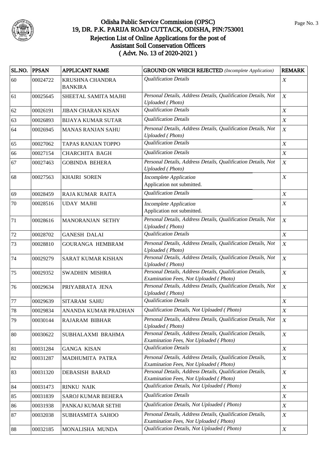

| SL.NO.  | <b>PPSAN</b> | <b>APPLICANT NAME</b>             | <b>GROUND ON WHICH REJECTED</b> (Incomplete Application)                                            | <b>REMARK</b>    |
|---------|--------------|-----------------------------------|-----------------------------------------------------------------------------------------------------|------------------|
| 60      | 00024722     | KRUSHNA CHANDRA<br><b>BANKIRA</b> | <b>Qualification Details</b>                                                                        | $\boldsymbol{X}$ |
| 61      | 00025645     | SHEETAL SAMITA MAJHI              | Personal Details, Address Details, Qualification Details, Not<br><b>Uploaded</b> (Photo)            | $\boldsymbol{X}$ |
| 62      | 00026191     | <b>JIBAN CHARAN KISAN</b>         | <b>Qualification Details</b>                                                                        | $\boldsymbol{X}$ |
| 63      | 00026893     | <b>BIJAYA KUMAR SUTAR</b>         | <b>Qualification Details</b>                                                                        | $\boldsymbol{X}$ |
| 64      | 00026945     | <b>MANAS RANJAN SAHU</b>          | Personal Details, Address Details, Qualification Details, Not<br><b>Uploaded</b> (Photo)            | $\boldsymbol{X}$ |
| 65      | 00027062     | <b>TAPAS RANJAN TOPPO</b>         | <b>Qualification Details</b>                                                                        | $\boldsymbol{X}$ |
| 66      | 00027154     | CHARCHITA BAGH                    | <b>Qualification Details</b>                                                                        | $\boldsymbol{X}$ |
| 67      | 00027463     | <b>GOBINDA BEHERA</b>             | Personal Details, Address Details, Qualification Details, Not<br><b>Uploaded</b> (Photo)            | $\boldsymbol{X}$ |
| 68      | 00027563     | <b>KHAIRI SOREN</b>               | <b>Incomplete Application</b><br>Application not submitted.                                         | $\boldsymbol{X}$ |
| 69      | 00028459     | RAJA KUMAR RAITA                  | <b>Qualification Details</b>                                                                        | $\boldsymbol{X}$ |
| 70      | 00028516     | <b>UDAY MAJHI</b>                 | <b>Incomplete Application</b><br>Application not submitted.                                         | $\boldsymbol{X}$ |
| 71      | 00028616     | MANORANJAN SETHY                  | Personal Details, Address Details, Qualification Details, Not<br><b>Uploaded</b> (Photo)            | $\boldsymbol{X}$ |
| 72      | 00028702     | <b>GANESH DALAI</b>               | <b>Qualification Details</b>                                                                        | $\boldsymbol{X}$ |
| 73      | 00028810     | <b>GOURANGA HEMBRAM</b>           | Personal Details, Address Details, Qualification Details, Not<br><b>Uploaded</b> (Photo)            | $\boldsymbol{X}$ |
| 74      | 00029279     | <b>SARAT KUMAR KISHAN</b>         | Personal Details, Address Details, Qualification Details, Not<br><b>Uploaded</b> (Photo)            | $\boldsymbol{X}$ |
| 75      | 00029352     | SWADHIN MISHRA                    | Personal Details, Address Details, Qualification Details,<br>Examination Fees, Not Uploaded (Photo) | $\boldsymbol{X}$ |
| 76      | 00029634     | PRIYABRATA JENA                   | Personal Details, Address Details, Qualification Details, Not<br><b>Uploaded</b> (Photo)            | $\boldsymbol{X}$ |
| $77 \,$ | 00029639     | SITARAM SAHU                      | <b>Qualification Details</b>                                                                        | $\boldsymbol{X}$ |
| 78      | 00029834     | ANANDA KUMAR PRADHAN              | Qualification Details, Not Uploaded (Photo)                                                         | $\boldsymbol{X}$ |
| 79      | 00030144     | <b>RAJARAM BIBHAR</b>             | Personal Details, Address Details, Qualification Details, Not<br><b>Uploaded</b> (Photo)            | $\boldsymbol{X}$ |
| 80      | 00030622     | SUBHALAXMI BRAHMA                 | Personal Details, Address Details, Qualification Details,<br>Examination Fees, Not Uploaded (Photo) | $\boldsymbol{X}$ |
| 81      | 00031284     | <b>GANGA KISAN</b>                | <b>Qualification Details</b>                                                                        | $\boldsymbol{X}$ |
| 82      | 00031287     | MADHUMITA PATRA                   | Personal Details, Address Details, Qualification Details,<br>Examination Fees, Not Uploaded (Photo) | X                |
| 83      | 00031320     | <b>DEBASISH BARAD</b>             | Personal Details, Address Details, Qualification Details,<br>Examination Fees, Not Uploaded (Photo) | $\boldsymbol{X}$ |
| 84      | 00031473     | <b>RINKU NAIK</b>                 | Qualification Details, Not Uploaded (Photo)                                                         | $\boldsymbol{X}$ |
| 85      | 00031839     | SAROJ KUMAR BEHERA                | <b>Qualification Details</b>                                                                        | $\boldsymbol{X}$ |
| 86      | 00031938     | PANKAJ KUMAR SETHI                | Qualification Details, Not Uploaded (Photo)                                                         | X                |
| 87      | 00032038     | SUBHASMITA SAHOO                  | Personal Details, Address Details, Qualification Details,<br>Examination Fees, Not Uploaded (Photo) | $\boldsymbol{X}$ |
| 88      | 00032185     | MONALISHA MUNDA                   | Qualification Details, Not Uploaded (Photo)                                                         | X                |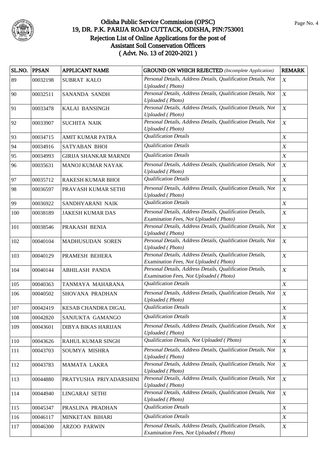

| SL.NO. | <b>PPSAN</b> | <b>APPLICANT NAME</b>        | <b>GROUND ON WHICH REJECTED</b> (Incomplete Application)                                            | <b>REMARK</b>     |
|--------|--------------|------------------------------|-----------------------------------------------------------------------------------------------------|-------------------|
| 89     | 00032198     | <b>SUBRAT KALO</b>           | Personal Details, Address Details, Qualification Details, Not<br><b>Uploaded</b> (Photo)            | $\boldsymbol{X}$  |
| 90     | 00032511     | SANANDA SANDH                | Personal Details, Address Details, Qualification Details, Not<br><b>Uploaded</b> (Photo)            | $\boldsymbol{X}$  |
| 91     | 00033478     | KALAI BANSINGH               | Personal Details, Address Details, Qualification Details, Not<br><b>Uploaded</b> (Photo)            | $\boldsymbol{X}$  |
| 92     | 00033907     | <b>SUCHITA NAIK</b>          | Personal Details, Address Details, Qualification Details, Not<br><b>Uploaded</b> (Photo)            | $\boldsymbol{X}$  |
| 93     | 00034715     | <b>AMIT KUMAR PATRA</b>      | <b>Qualification Details</b>                                                                        | $\boldsymbol{X}$  |
| 94     | 00034916     | SATYABAN BHOI                | <b>Qualification Details</b>                                                                        | $\boldsymbol{X}$  |
| 95     | 00034993     | <b>GIRIJA SHANKAR MARNDI</b> | <b>Qualification Details</b>                                                                        | $\boldsymbol{X}$  |
| 96     | 00035631     | <b>MANOJ KUMAR NAYAK</b>     | Personal Details, Address Details, Qualification Details, Not<br><b>Uploaded</b> (Photo)            | $\boldsymbol{X}$  |
| 97     | 00035712     | RAKESH KUMAR BHOI            | <b>Qualification Details</b>                                                                        | $\boldsymbol{X}$  |
| 98     | 00036597     | PRAVASH KUMAR SETHI          | Personal Details, Address Details, Qualification Details, Not<br><b>Uploaded</b> (Photo)            | $\boldsymbol{X}$  |
| 99     | 00036922     | SANDHYARANI NAIK             | <b>Qualification Details</b>                                                                        | $\boldsymbol{X}$  |
| 100    | 00038189     | <b>JAKESH KUMAR DAS</b>      | Personal Details, Address Details, Qualification Details,<br>Examination Fees, Not Uploaded (Photo) | $\boldsymbol{X}$  |
| 101    | 00038546     | PRAKASH BENIA                | Personal Details, Address Details, Qualification Details, Not<br><b>Uploaded</b> (Photo)            | $\boldsymbol{X}$  |
| 102    | 00040104     | MADHUSUDAN SOREN             | Personal Details, Address Details, Qualification Details, Not<br><b>Uploaded</b> (Photo)            | $\boldsymbol{X}$  |
| 103    | 00040129     | PRAMESH BEHERA               | Personal Details, Address Details, Qualification Details,<br>Examination Fees, Not Uploaded (Photo) | $\boldsymbol{X}$  |
| 104    | 00040144     | <b>ABHILASH PANDA</b>        | Personal Details, Address Details, Qualification Details,<br>Examination Fees, Not Uploaded (Photo) | $\boldsymbol{X}$  |
| 105    | 00040363     | TANMAYA MAHARANA             | <b>Qualification Details</b>                                                                        | X                 |
| 106    | 00040502     | <b>SHOVANA PRADHAN</b>       | Personal Details, Address Details, Qualification Details, Not<br><b>Uploaded</b> (Photo)            | $\boldsymbol{X}$  |
| 107    | 00042419     | KESAB CHANDRA DIGAL          | <b>Qualification Details</b>                                                                        | $X_{\mathcal{I}}$ |
| 108    | 00042820     | SANJUKTA GAMANGO             | <b>Qualification Details</b>                                                                        | $\boldsymbol{X}$  |
| 109    | 00043601     | DIBYA BIKAS HARIJAN          | Personal Details, Address Details, Qualification Details, Not<br><b>Uploaded</b> (Photo)            | $\boldsymbol{X}$  |
| 110    | 00043626     | RAHUL KUMAR SINGH            | Qualification Details, Not Uploaded (Photo)                                                         | $\boldsymbol{X}$  |
| 111    | 00043703     | SOUMYA MISHRA                | Personal Details, Address Details, Qualification Details, Not<br><b>Uploaded</b> (Photo)            | $\boldsymbol{X}$  |
| 112    | 00043783     | <b>MAMATA LAKRA</b>          | Personal Details, Address Details, Qualification Details, Not<br><b>Uploaded</b> (Photo)            | $\boldsymbol{X}$  |
| 113    | 00044880     | PRATYUSHA PRIYADARSHINI      | Personal Details, Address Details, Qualification Details, Not<br><b>Uploaded</b> (Photo)            | X                 |
| 114    | 00044940     | LINGARAJ SETHI               | Personal Details, Address Details, Qualification Details, Not<br><b>Uploaded</b> (Photo)            | $\boldsymbol{X}$  |
| 115    | 00045347     | PRASLINA PRADHAN             | <b>Qualification Details</b>                                                                        | $\boldsymbol{X}$  |
| 116    | 00046117     | MINKETAN BIHARI              | <b>Qualification Details</b>                                                                        | X                 |
| 117    | 00046300     | <b>ARZOO PARWIN</b>          | Personal Details, Address Details, Qualification Details,<br>Examination Fees, Not Uploaded (Photo) | X                 |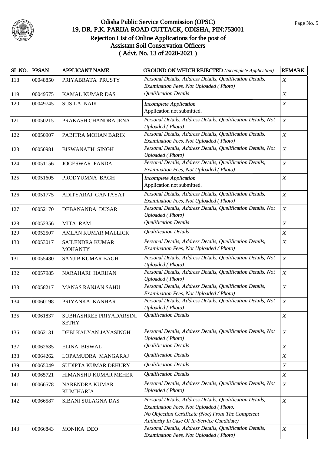

| SL.NO. PPSAN |          | APPLICANT NAME                          | <b>GROUND ON WHICH REJECTED</b> (Incomplete Application)                                                                                                                                               | <b>REMARK</b>    |
|--------------|----------|-----------------------------------------|--------------------------------------------------------------------------------------------------------------------------------------------------------------------------------------------------------|------------------|
| 118          | 00048850 | PRIYABRATA PRUSTY                       | Personal Details, Address Details, Qualification Details,<br>Examination Fees, Not Uploaded (Photo)                                                                                                    | X                |
| 119          | 00049575 | <b>KAMAL KUMAR DAS</b>                  | <b>Qualification Details</b>                                                                                                                                                                           | $\boldsymbol{X}$ |
| 120          | 00049745 | <b>SUSILA NAIK</b>                      | <b>Incomplete Application</b><br>Application not submitted.                                                                                                                                            | $\boldsymbol{X}$ |
| 121          | 00050215 | PRAKASH CHANDRA JENA                    | Personal Details, Address Details, Qualification Details, Not<br><b>Uploaded</b> (Photo)                                                                                                               | $\boldsymbol{X}$ |
| 122          | 00050907 | PABITRA MOHAN BARIK                     | Personal Details, Address Details, Qualification Details,<br>Examination Fees, Not Uploaded (Photo)                                                                                                    | $\boldsymbol{X}$ |
| 123          | 00050981 | <b>BISWANATH SINGH</b>                  | Personal Details, Address Details, Qualification Details, Not<br><b>Uploaded</b> (Photo)                                                                                                               | $\boldsymbol{X}$ |
| 124          | 00051156 | <b>JOGESWAR PANDA</b>                   | Personal Details, Address Details, Qualification Details,<br>Examination Fees, Not Uploaded (Photo)                                                                                                    | $\boldsymbol{X}$ |
| 125          | 00051605 | PRODYUMNA BAGH                          | <b>Incomplete Application</b><br>Application not submitted.                                                                                                                                            | $\boldsymbol{X}$ |
| 126          | 00051775 | ADITYARAJ GANTAYAT                      | Personal Details, Address Details, Qualification Details,<br>Examination Fees, Not Uploaded (Photo)                                                                                                    | $\boldsymbol{X}$ |
| 127          | 00052170 | DEBANANDA DUSAR                         | Personal Details, Address Details, Qualification Details, Not<br><b>Uploaded</b> (Photo)                                                                                                               | $\boldsymbol{X}$ |
| 128          | 00052356 | <b>MITA RAM</b>                         | <b>Qualification Details</b>                                                                                                                                                                           | $\boldsymbol{X}$ |
| 129          | 00052507 | AMLAN KUMAR MALLICK                     | <b>Qualification Details</b>                                                                                                                                                                           | $\boldsymbol{X}$ |
| 130          | 00053017 | SAILENDRA KUMAR<br><b>MOHANTY</b>       | Personal Details, Address Details, Qualification Details,<br>Examination Fees, Not Uploaded (Photo)                                                                                                    | $\boldsymbol{X}$ |
| 131          | 00055480 | <b>SANJIB KUMAR BAGH</b>                | Personal Details, Address Details, Qualification Details, Not<br><b>Uploaded</b> (Photo)                                                                                                               | $\boldsymbol{X}$ |
| 132          | 00057985 | NARAHARI HARIJAN                        | Personal Details, Address Details, Qualification Details, Not<br><b>Uploaded</b> (Photo)                                                                                                               | $\boldsymbol{X}$ |
| 133          | 00058217 | <b>MANAS RANJAN SAHU</b>                | Personal Details, Address Details, Qualification Details,<br>Examination Fees, Not Uploaded (Photo)                                                                                                    | $\boldsymbol{X}$ |
| 134          | 00060198 | PRIYANKA KANHAR                         | Personal Details, Address Details, Qualification Details, Not<br>Uploaded (Photo)                                                                                                                      | $\boldsymbol{X}$ |
| 135          | 00061837 | SUBHASHREE PRIYADARSINI<br><b>SETHY</b> | <b>Qualification Details</b>                                                                                                                                                                           | X                |
| 136          | 00062131 | DEBI KALYAN JAYASINGH                   | Personal Details, Address Details, Qualification Details, Not<br><b>Uploaded</b> (Photo)                                                                                                               | $\boldsymbol{X}$ |
| 137          | 00062685 | ELINA BISWAL                            | <b>Qualification Details</b>                                                                                                                                                                           | $\boldsymbol{X}$ |
| 138          | 00064262 | LOPAMUDRA MANGARAJ                      | <b>Qualification Details</b>                                                                                                                                                                           | X                |
| 139          | 00065049 | SUDIPTA KUMAR DEHURY                    | <b>Qualification Details</b>                                                                                                                                                                           | $\boldsymbol{X}$ |
| 140          | 00065721 | HIMANSHU KUMAR MEHER                    | <b>Qualification Details</b>                                                                                                                                                                           | $\boldsymbol{X}$ |
| 141          | 00066578 | NARENDRA KUMAR<br><b>KUMJHARIA</b>      | Personal Details, Address Details, Qualification Details, Not<br><b>Uploaded</b> (Photo)                                                                                                               | $\boldsymbol{X}$ |
| 142          | 00066587 | SIBANI SULAGNA DAS                      | Personal Details, Address Details, Qualification Details,<br>Examination Fees, Not Uploaded (Photo,<br>No Objection Certificate (Noc) From The Competent<br>Authority In Case Of In-Service Candidate) | $\boldsymbol{X}$ |
| 143          | 00066843 | MONIKA DEO                              | Personal Details, Address Details, Qualification Details,<br>Examination Fees, Not Uploaded (Photo)                                                                                                    | $\boldsymbol{X}$ |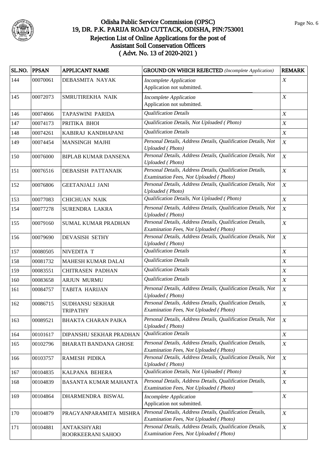

| SL.NO. | <b>PPSAN</b> | <b>APPLICANT NAME</b>                     | <b>GROUND ON WHICH REJECTED</b> (Incomplete Application)                                            | <b>REMARK</b>    |
|--------|--------------|-------------------------------------------|-----------------------------------------------------------------------------------------------------|------------------|
| 144    | 00070061     | DEBASMITA NAYAK                           | <b>Incomplete Application</b><br>Application not submitted.                                         | $\boldsymbol{X}$ |
| 145    | 00072073     | SMRUTIREKHA NAIK                          | <b>Incomplete Application</b><br>Application not submitted.                                         | $\boldsymbol{X}$ |
| 146    | 00074066     | TAPASWINI PARIDA                          | <b>Qualification Details</b>                                                                        | $\boldsymbol{X}$ |
| 147    | 00074173     | PRITIKA BHOI                              | Qualification Details, Not Uploaded (Photo)                                                         | $\boldsymbol{X}$ |
| 148    | 00074261     | KABIRAJ KANDHAPANI                        | <b>Qualification Details</b>                                                                        | $\boldsymbol{X}$ |
| 149    | 00074454     | <b>MANSINGH MAJHI</b>                     | Personal Details, Address Details, Qualification Details, Not<br><b>Uploaded</b> (Photo)            | $\boldsymbol{X}$ |
| 150    | 00076000     | <b>BIPLAB KUMAR DANSENA</b>               | Personal Details, Address Details, Qualification Details, Not<br><b>Uploaded</b> (Photo)            | $\boldsymbol{X}$ |
| 151    | 00076516     | DEBASISH PATTANAIK                        | Personal Details, Address Details, Qualification Details,<br>Examination Fees, Not Uploaded (Photo) | $\boldsymbol{X}$ |
| 152    | 00076806     | <b>GEETANJALI JANI</b>                    | Personal Details, Address Details, Qualification Details, Not<br><b>Uploaded</b> (Photo)            | $\boldsymbol{X}$ |
| 153    | 00077083     | <b>CHICHUAN NAIK</b>                      | Qualification Details, Not Uploaded (Photo)                                                         | $\boldsymbol{X}$ |
| 154    | 00077278     | <b>SURENDRA LAKRA</b>                     | Personal Details, Address Details, Qualification Details, Not<br><b>Uploaded</b> (Photo)            | $\boldsymbol{X}$ |
| 155    | 00079160     | <b>SUMAL KUMAR PRADHAN</b>                | Personal Details, Address Details, Qualification Details,<br>Examination Fees, Not Uploaded (Photo) | $\boldsymbol{X}$ |
| 156    | 00079690     | <b>DEVASISH SETHY</b>                     | Personal Details, Address Details, Qualification Details, Not<br><b>Uploaded</b> (Photo)            | $\boldsymbol{X}$ |
| 157    | 00080505     | NIVEDITA T                                | <b>Qualification Details</b>                                                                        | $\boldsymbol{X}$ |
| 158    | 00081732     | <b>MAHESH KUMAR DALAI</b>                 | <b>Qualification Details</b>                                                                        | $\boldsymbol{X}$ |
| 159    | 00083551     | <b>CHITRASEN PADHAN</b>                   | <b>Qualification Details</b>                                                                        | $\boldsymbol{X}$ |
| 160    | 00083658     | <b>ARJUN MURMU</b>                        | <b>Qualification Details</b>                                                                        | $\boldsymbol{X}$ |
| 161    | 00084757     | TABITA HARIJAN                            | Personal Details, Address Details, Qualification Details, Not<br><b>Uploaded</b> (Photo)            | $\boldsymbol{X}$ |
| 162    | 00086715     | <b>SUDHANSU SEKHAR</b><br><b>TRIPATHY</b> | Personal Details, Address Details, Qualification Details,<br>Examination Fees, Not Uploaded (Photo) | $\boldsymbol{X}$ |
| 163    | 00089521     | BHAKTA CHARAN PAIKA                       | Personal Details, Address Details, Qualification Details, Not<br><b>Uploaded</b> (Photo)            | $\boldsymbol{X}$ |
| 164    | 00101617     | DIPANSHU SEKHAR PRADHAN                   | <b>Qualification Details</b>                                                                        | $\boldsymbol{X}$ |
| 165    | 00102796     | BHARATI BANDANA GHOSE                     | Personal Details, Address Details, Qualification Details,<br>Examination Fees, Not Uploaded (Photo) | $\boldsymbol{X}$ |
| 166    | 00103757     | RAMESH PIDIKA                             | Personal Details, Address Details, Qualification Details, Not<br><b>Uploaded</b> (Photo)            | $\boldsymbol{X}$ |
| 167    | 00104835     | KALPANA BEHERA                            | Qualification Details, Not Uploaded (Photo)                                                         | $\boldsymbol{X}$ |
| 168    | 00104839     | <b>BASANTA KUMAR MAHANTA</b>              | Personal Details, Address Details, Qualification Details,<br>Examination Fees, Not Uploaded (Photo) | $\boldsymbol{X}$ |
| 169    | 00104864     | DHARMENDRA BISWAL                         | Incomplete Application<br>Application not submitted.                                                | $\boldsymbol{X}$ |
| 170    | 00104879     | PRAGYANPARAMITA MISHRA                    | Personal Details, Address Details, Qualification Details,<br>Examination Fees, Not Uploaded (Photo) | $\boldsymbol{X}$ |
| 171    | 00104881     | <b>ANTAKSHYARI</b><br>ROORKEERANI SAHOO   | Personal Details, Address Details, Qualification Details,<br>Examination Fees, Not Uploaded (Photo) | $\boldsymbol{X}$ |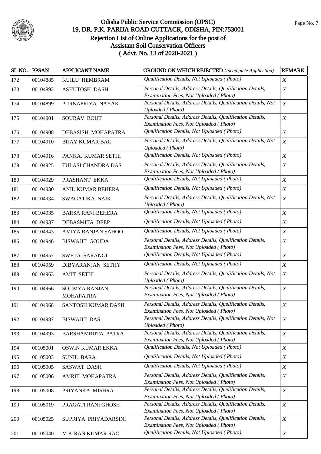

| Qualification Details, Not Uploaded (Photo)<br>$\boldsymbol{X}$<br>00104885<br>KUILU HEMBRAM<br>Personal Details, Address Details, Qualification Details,<br>$\boldsymbol{X}$<br>173<br>00104892<br><b>ASHUTOSH DASH</b><br>Examination Fees, Not Uploaded (Photo)<br>Personal Details, Address Details, Qualification Details, Not<br>$\boldsymbol{X}$<br>174<br>00104899<br>PURNAPRIYA NAYAK<br><b>Uploaded</b> (Photo)<br>Personal Details, Address Details, Qualification Details,<br>$\boldsymbol{X}$<br>175<br>00104901<br>SOURAV ROUT<br>Examination Fees, Not Uploaded (Photo)<br>Qualification Details, Not Uploaded (Photo)<br>$\boldsymbol{X}$<br>176<br>00104908<br>DEBASISH MOHAPATRA<br>Personal Details, Address Details, Qualification Details, Not<br>$\boldsymbol{X}$<br>177<br>00104910<br><b>BIJAY KUMAR BAG</b><br><b>Uploaded</b> (Photo)<br>Qualification Details, Not Uploaded (Photo)<br>$\boldsymbol{X}$<br>00104916<br>PANKAJ KUMAR SETHI<br>178<br>Personal Details, Address Details, Qualification Details,<br>$\boldsymbol{X}$<br>179<br>00104925<br>TULASI CHANDRA DAS<br>Examination Fees, Not Uploaded (Photo)<br>Qualification Details, Not Uploaded (Photo)<br>$\boldsymbol{X}$<br>180<br>00104929<br>PRASHANT EKKA<br>Qualification Details, Not Uploaded (Photo)<br>$\boldsymbol{X}$<br>181<br>00104930<br>ANIL KUMAR BEHERA<br>Personal Details, Address Details, Qualification Details, Not<br>$\boldsymbol{X}$<br>182<br>00104934<br>SWAGATIKA NAIK<br><b>Uploaded</b> (Photo)<br>Qualification Details, Not Uploaded (Photo)<br>$\boldsymbol{X}$<br>183<br>00104935<br><b>BARSA RANI BEHERA</b><br>Qualification Details, Not Uploaded (Photo)<br>$\boldsymbol{X}$<br>184<br>00104937<br><b>DEBASMITA DEEP</b><br>Qualification Details, Not Uploaded (Photo)<br>$\boldsymbol{X}$<br>00104943<br>185<br>AMIYA RANJAN SAHOO<br>Personal Details, Address Details, Qualification Details,<br>$\boldsymbol{X}$<br>186<br>00104946<br><b>BISWAJIT GOUDA</b><br>Examination Fees, Not Uploaded (Photo)<br>Qualification Details, Not Uploaded (Photo)<br>$\boldsymbol{X}$<br>187<br>SWETA SARANGI<br>00104957<br>Qualification Details, Not Uploaded (Photo)<br>$\boldsymbol{X}$<br>188<br>00104959<br><b>DIBYARANJAN SETHY</b><br>Personal Details, Address Details, Qualification Details, Not<br>$\boldsymbol{X}$<br>189<br>00104963<br><b>AMIT SETHI</b><br><b>Uploaded</b> (Photo)<br>Personal Details, Address Details, Qualification Details,<br>$\boldsymbol{X}$<br>190<br>00104966<br><b>SOUMYA RANJAN</b><br>Examination Fees, Not Uploaded (Photo)<br><b>MOHAPATRA</b><br>Personal Details, Address Details, Qualification Details,<br>$\boldsymbol{X}$<br>191<br>00104968<br><b>SANTOSH KUMAR DASH</b><br>Examination Fees, Not Uploaded (Photo)<br>Personal Details, Address Details, Qualification Details, Not<br>$\boldsymbol{X}$<br>192<br>00104987<br><b>BISWAJIT DAS</b><br><b>Uploaded</b> (Photo)<br>Personal Details, Address Details, Qualification Details,<br>$\boldsymbol{X}$<br>00104993<br>193<br>BARSHAMRUTA PATRA<br>Examination Fees, Not Uploaded (Photo)<br>Qualification Details, Not Uploaded (Photo)<br>$\boldsymbol{X}$<br>194<br>00105001<br>OSWIN KUMAR EKKA<br>Qualification Details, Not Uploaded (Photo)<br>$\boldsymbol{X}$<br>195<br><b>SUNIL BARA</b><br>00105003<br>Qualification Details, Not Uploaded (Photo)<br>$\boldsymbol{X}$<br>196<br>00105005<br><b>SASWAT DASH</b><br>Personal Details, Address Details, Qualification Details,<br>$\boldsymbol{X}$<br>AMRIT MOHAPATRA<br>197<br>00105006<br>Examination Fees, Not Uploaded (Photo)<br>Personal Details, Address Details, Qualification Details,<br>$\boldsymbol{X}$<br>198<br>00105008<br>PRIYANKA MISHRA | SL.NO. | <b>PPSAN</b> | <b>APPLICANT NAME</b> | <b>GROUND ON WHICH REJECTED</b> (Incomplete Application) | <b>REMARK</b> |
|--------------------------------------------------------------------------------------------------------------------------------------------------------------------------------------------------------------------------------------------------------------------------------------------------------------------------------------------------------------------------------------------------------------------------------------------------------------------------------------------------------------------------------------------------------------------------------------------------------------------------------------------------------------------------------------------------------------------------------------------------------------------------------------------------------------------------------------------------------------------------------------------------------------------------------------------------------------------------------------------------------------------------------------------------------------------------------------------------------------------------------------------------------------------------------------------------------------------------------------------------------------------------------------------------------------------------------------------------------------------------------------------------------------------------------------------------------------------------------------------------------------------------------------------------------------------------------------------------------------------------------------------------------------------------------------------------------------------------------------------------------------------------------------------------------------------------------------------------------------------------------------------------------------------------------------------------------------------------------------------------------------------------------------------------------------------------------------------------------------------------------------------------------------------------------------------------------------------------------------------------------------------------------------------------------------------------------------------------------------------------------------------------------------------------------------------------------------------------------------------------------------------------------------------------------------------------------------------------------------------------------------------------------------------------------------------------------------------------------------------------------------------------------------------------------------------------------------------------------------------------------------------------------------------------------------------------------------------------------------------------------------------------------------------------------------------------------------------------------------------------------------------------------------------------------------------------------------------------------------------------------------------------------------------------------------------------------------------------------------------------------------------------------------------------------------------------------------------------------------------------------------------------------------------------------------------------------------------------------------------------------------------------------------------------------------------------------------------------------------------------------|--------|--------------|-----------------------|----------------------------------------------------------|---------------|
|                                                                                                                                                                                                                                                                                                                                                                                                                                                                                                                                                                                                                                                                                                                                                                                                                                                                                                                                                                                                                                                                                                                                                                                                                                                                                                                                                                                                                                                                                                                                                                                                                                                                                                                                                                                                                                                                                                                                                                                                                                                                                                                                                                                                                                                                                                                                                                                                                                                                                                                                                                                                                                                                                                                                                                                                                                                                                                                                                                                                                                                                                                                                                                                                                                                                                                                                                                                                                                                                                                                                                                                                                                                                                                                                                        | 172    |              |                       |                                                          |               |
|                                                                                                                                                                                                                                                                                                                                                                                                                                                                                                                                                                                                                                                                                                                                                                                                                                                                                                                                                                                                                                                                                                                                                                                                                                                                                                                                                                                                                                                                                                                                                                                                                                                                                                                                                                                                                                                                                                                                                                                                                                                                                                                                                                                                                                                                                                                                                                                                                                                                                                                                                                                                                                                                                                                                                                                                                                                                                                                                                                                                                                                                                                                                                                                                                                                                                                                                                                                                                                                                                                                                                                                                                                                                                                                                                        |        |              |                       |                                                          |               |
|                                                                                                                                                                                                                                                                                                                                                                                                                                                                                                                                                                                                                                                                                                                                                                                                                                                                                                                                                                                                                                                                                                                                                                                                                                                                                                                                                                                                                                                                                                                                                                                                                                                                                                                                                                                                                                                                                                                                                                                                                                                                                                                                                                                                                                                                                                                                                                                                                                                                                                                                                                                                                                                                                                                                                                                                                                                                                                                                                                                                                                                                                                                                                                                                                                                                                                                                                                                                                                                                                                                                                                                                                                                                                                                                                        |        |              |                       |                                                          |               |
|                                                                                                                                                                                                                                                                                                                                                                                                                                                                                                                                                                                                                                                                                                                                                                                                                                                                                                                                                                                                                                                                                                                                                                                                                                                                                                                                                                                                                                                                                                                                                                                                                                                                                                                                                                                                                                                                                                                                                                                                                                                                                                                                                                                                                                                                                                                                                                                                                                                                                                                                                                                                                                                                                                                                                                                                                                                                                                                                                                                                                                                                                                                                                                                                                                                                                                                                                                                                                                                                                                                                                                                                                                                                                                                                                        |        |              |                       |                                                          |               |
|                                                                                                                                                                                                                                                                                                                                                                                                                                                                                                                                                                                                                                                                                                                                                                                                                                                                                                                                                                                                                                                                                                                                                                                                                                                                                                                                                                                                                                                                                                                                                                                                                                                                                                                                                                                                                                                                                                                                                                                                                                                                                                                                                                                                                                                                                                                                                                                                                                                                                                                                                                                                                                                                                                                                                                                                                                                                                                                                                                                                                                                                                                                                                                                                                                                                                                                                                                                                                                                                                                                                                                                                                                                                                                                                                        |        |              |                       |                                                          |               |
|                                                                                                                                                                                                                                                                                                                                                                                                                                                                                                                                                                                                                                                                                                                                                                                                                                                                                                                                                                                                                                                                                                                                                                                                                                                                                                                                                                                                                                                                                                                                                                                                                                                                                                                                                                                                                                                                                                                                                                                                                                                                                                                                                                                                                                                                                                                                                                                                                                                                                                                                                                                                                                                                                                                                                                                                                                                                                                                                                                                                                                                                                                                                                                                                                                                                                                                                                                                                                                                                                                                                                                                                                                                                                                                                                        |        |              |                       |                                                          |               |
|                                                                                                                                                                                                                                                                                                                                                                                                                                                                                                                                                                                                                                                                                                                                                                                                                                                                                                                                                                                                                                                                                                                                                                                                                                                                                                                                                                                                                                                                                                                                                                                                                                                                                                                                                                                                                                                                                                                                                                                                                                                                                                                                                                                                                                                                                                                                                                                                                                                                                                                                                                                                                                                                                                                                                                                                                                                                                                                                                                                                                                                                                                                                                                                                                                                                                                                                                                                                                                                                                                                                                                                                                                                                                                                                                        |        |              |                       |                                                          |               |
|                                                                                                                                                                                                                                                                                                                                                                                                                                                                                                                                                                                                                                                                                                                                                                                                                                                                                                                                                                                                                                                                                                                                                                                                                                                                                                                                                                                                                                                                                                                                                                                                                                                                                                                                                                                                                                                                                                                                                                                                                                                                                                                                                                                                                                                                                                                                                                                                                                                                                                                                                                                                                                                                                                                                                                                                                                                                                                                                                                                                                                                                                                                                                                                                                                                                                                                                                                                                                                                                                                                                                                                                                                                                                                                                                        |        |              |                       |                                                          |               |
|                                                                                                                                                                                                                                                                                                                                                                                                                                                                                                                                                                                                                                                                                                                                                                                                                                                                                                                                                                                                                                                                                                                                                                                                                                                                                                                                                                                                                                                                                                                                                                                                                                                                                                                                                                                                                                                                                                                                                                                                                                                                                                                                                                                                                                                                                                                                                                                                                                                                                                                                                                                                                                                                                                                                                                                                                                                                                                                                                                                                                                                                                                                                                                                                                                                                                                                                                                                                                                                                                                                                                                                                                                                                                                                                                        |        |              |                       |                                                          |               |
|                                                                                                                                                                                                                                                                                                                                                                                                                                                                                                                                                                                                                                                                                                                                                                                                                                                                                                                                                                                                                                                                                                                                                                                                                                                                                                                                                                                                                                                                                                                                                                                                                                                                                                                                                                                                                                                                                                                                                                                                                                                                                                                                                                                                                                                                                                                                                                                                                                                                                                                                                                                                                                                                                                                                                                                                                                                                                                                                                                                                                                                                                                                                                                                                                                                                                                                                                                                                                                                                                                                                                                                                                                                                                                                                                        |        |              |                       |                                                          |               |
|                                                                                                                                                                                                                                                                                                                                                                                                                                                                                                                                                                                                                                                                                                                                                                                                                                                                                                                                                                                                                                                                                                                                                                                                                                                                                                                                                                                                                                                                                                                                                                                                                                                                                                                                                                                                                                                                                                                                                                                                                                                                                                                                                                                                                                                                                                                                                                                                                                                                                                                                                                                                                                                                                                                                                                                                                                                                                                                                                                                                                                                                                                                                                                                                                                                                                                                                                                                                                                                                                                                                                                                                                                                                                                                                                        |        |              |                       |                                                          |               |
|                                                                                                                                                                                                                                                                                                                                                                                                                                                                                                                                                                                                                                                                                                                                                                                                                                                                                                                                                                                                                                                                                                                                                                                                                                                                                                                                                                                                                                                                                                                                                                                                                                                                                                                                                                                                                                                                                                                                                                                                                                                                                                                                                                                                                                                                                                                                                                                                                                                                                                                                                                                                                                                                                                                                                                                                                                                                                                                                                                                                                                                                                                                                                                                                                                                                                                                                                                                                                                                                                                                                                                                                                                                                                                                                                        |        |              |                       |                                                          |               |
|                                                                                                                                                                                                                                                                                                                                                                                                                                                                                                                                                                                                                                                                                                                                                                                                                                                                                                                                                                                                                                                                                                                                                                                                                                                                                                                                                                                                                                                                                                                                                                                                                                                                                                                                                                                                                                                                                                                                                                                                                                                                                                                                                                                                                                                                                                                                                                                                                                                                                                                                                                                                                                                                                                                                                                                                                                                                                                                                                                                                                                                                                                                                                                                                                                                                                                                                                                                                                                                                                                                                                                                                                                                                                                                                                        |        |              |                       |                                                          |               |
|                                                                                                                                                                                                                                                                                                                                                                                                                                                                                                                                                                                                                                                                                                                                                                                                                                                                                                                                                                                                                                                                                                                                                                                                                                                                                                                                                                                                                                                                                                                                                                                                                                                                                                                                                                                                                                                                                                                                                                                                                                                                                                                                                                                                                                                                                                                                                                                                                                                                                                                                                                                                                                                                                                                                                                                                                                                                                                                                                                                                                                                                                                                                                                                                                                                                                                                                                                                                                                                                                                                                                                                                                                                                                                                                                        |        |              |                       |                                                          |               |
|                                                                                                                                                                                                                                                                                                                                                                                                                                                                                                                                                                                                                                                                                                                                                                                                                                                                                                                                                                                                                                                                                                                                                                                                                                                                                                                                                                                                                                                                                                                                                                                                                                                                                                                                                                                                                                                                                                                                                                                                                                                                                                                                                                                                                                                                                                                                                                                                                                                                                                                                                                                                                                                                                                                                                                                                                                                                                                                                                                                                                                                                                                                                                                                                                                                                                                                                                                                                                                                                                                                                                                                                                                                                                                                                                        |        |              |                       |                                                          |               |
|                                                                                                                                                                                                                                                                                                                                                                                                                                                                                                                                                                                                                                                                                                                                                                                                                                                                                                                                                                                                                                                                                                                                                                                                                                                                                                                                                                                                                                                                                                                                                                                                                                                                                                                                                                                                                                                                                                                                                                                                                                                                                                                                                                                                                                                                                                                                                                                                                                                                                                                                                                                                                                                                                                                                                                                                                                                                                                                                                                                                                                                                                                                                                                                                                                                                                                                                                                                                                                                                                                                                                                                                                                                                                                                                                        |        |              |                       |                                                          |               |
|                                                                                                                                                                                                                                                                                                                                                                                                                                                                                                                                                                                                                                                                                                                                                                                                                                                                                                                                                                                                                                                                                                                                                                                                                                                                                                                                                                                                                                                                                                                                                                                                                                                                                                                                                                                                                                                                                                                                                                                                                                                                                                                                                                                                                                                                                                                                                                                                                                                                                                                                                                                                                                                                                                                                                                                                                                                                                                                                                                                                                                                                                                                                                                                                                                                                                                                                                                                                                                                                                                                                                                                                                                                                                                                                                        |        |              |                       |                                                          |               |
|                                                                                                                                                                                                                                                                                                                                                                                                                                                                                                                                                                                                                                                                                                                                                                                                                                                                                                                                                                                                                                                                                                                                                                                                                                                                                                                                                                                                                                                                                                                                                                                                                                                                                                                                                                                                                                                                                                                                                                                                                                                                                                                                                                                                                                                                                                                                                                                                                                                                                                                                                                                                                                                                                                                                                                                                                                                                                                                                                                                                                                                                                                                                                                                                                                                                                                                                                                                                                                                                                                                                                                                                                                                                                                                                                        |        |              |                       |                                                          |               |
|                                                                                                                                                                                                                                                                                                                                                                                                                                                                                                                                                                                                                                                                                                                                                                                                                                                                                                                                                                                                                                                                                                                                                                                                                                                                                                                                                                                                                                                                                                                                                                                                                                                                                                                                                                                                                                                                                                                                                                                                                                                                                                                                                                                                                                                                                                                                                                                                                                                                                                                                                                                                                                                                                                                                                                                                                                                                                                                                                                                                                                                                                                                                                                                                                                                                                                                                                                                                                                                                                                                                                                                                                                                                                                                                                        |        |              |                       |                                                          |               |
|                                                                                                                                                                                                                                                                                                                                                                                                                                                                                                                                                                                                                                                                                                                                                                                                                                                                                                                                                                                                                                                                                                                                                                                                                                                                                                                                                                                                                                                                                                                                                                                                                                                                                                                                                                                                                                                                                                                                                                                                                                                                                                                                                                                                                                                                                                                                                                                                                                                                                                                                                                                                                                                                                                                                                                                                                                                                                                                                                                                                                                                                                                                                                                                                                                                                                                                                                                                                                                                                                                                                                                                                                                                                                                                                                        |        |              |                       |                                                          |               |
|                                                                                                                                                                                                                                                                                                                                                                                                                                                                                                                                                                                                                                                                                                                                                                                                                                                                                                                                                                                                                                                                                                                                                                                                                                                                                                                                                                                                                                                                                                                                                                                                                                                                                                                                                                                                                                                                                                                                                                                                                                                                                                                                                                                                                                                                                                                                                                                                                                                                                                                                                                                                                                                                                                                                                                                                                                                                                                                                                                                                                                                                                                                                                                                                                                                                                                                                                                                                                                                                                                                                                                                                                                                                                                                                                        |        |              |                       |                                                          |               |
|                                                                                                                                                                                                                                                                                                                                                                                                                                                                                                                                                                                                                                                                                                                                                                                                                                                                                                                                                                                                                                                                                                                                                                                                                                                                                                                                                                                                                                                                                                                                                                                                                                                                                                                                                                                                                                                                                                                                                                                                                                                                                                                                                                                                                                                                                                                                                                                                                                                                                                                                                                                                                                                                                                                                                                                                                                                                                                                                                                                                                                                                                                                                                                                                                                                                                                                                                                                                                                                                                                                                                                                                                                                                                                                                                        |        |              |                       |                                                          |               |
|                                                                                                                                                                                                                                                                                                                                                                                                                                                                                                                                                                                                                                                                                                                                                                                                                                                                                                                                                                                                                                                                                                                                                                                                                                                                                                                                                                                                                                                                                                                                                                                                                                                                                                                                                                                                                                                                                                                                                                                                                                                                                                                                                                                                                                                                                                                                                                                                                                                                                                                                                                                                                                                                                                                                                                                                                                                                                                                                                                                                                                                                                                                                                                                                                                                                                                                                                                                                                                                                                                                                                                                                                                                                                                                                                        |        |              |                       |                                                          |               |
|                                                                                                                                                                                                                                                                                                                                                                                                                                                                                                                                                                                                                                                                                                                                                                                                                                                                                                                                                                                                                                                                                                                                                                                                                                                                                                                                                                                                                                                                                                                                                                                                                                                                                                                                                                                                                                                                                                                                                                                                                                                                                                                                                                                                                                                                                                                                                                                                                                                                                                                                                                                                                                                                                                                                                                                                                                                                                                                                                                                                                                                                                                                                                                                                                                                                                                                                                                                                                                                                                                                                                                                                                                                                                                                                                        |        |              |                       |                                                          |               |
|                                                                                                                                                                                                                                                                                                                                                                                                                                                                                                                                                                                                                                                                                                                                                                                                                                                                                                                                                                                                                                                                                                                                                                                                                                                                                                                                                                                                                                                                                                                                                                                                                                                                                                                                                                                                                                                                                                                                                                                                                                                                                                                                                                                                                                                                                                                                                                                                                                                                                                                                                                                                                                                                                                                                                                                                                                                                                                                                                                                                                                                                                                                                                                                                                                                                                                                                                                                                                                                                                                                                                                                                                                                                                                                                                        |        |              |                       |                                                          |               |
|                                                                                                                                                                                                                                                                                                                                                                                                                                                                                                                                                                                                                                                                                                                                                                                                                                                                                                                                                                                                                                                                                                                                                                                                                                                                                                                                                                                                                                                                                                                                                                                                                                                                                                                                                                                                                                                                                                                                                                                                                                                                                                                                                                                                                                                                                                                                                                                                                                                                                                                                                                                                                                                                                                                                                                                                                                                                                                                                                                                                                                                                                                                                                                                                                                                                                                                                                                                                                                                                                                                                                                                                                                                                                                                                                        |        |              |                       |                                                          |               |
|                                                                                                                                                                                                                                                                                                                                                                                                                                                                                                                                                                                                                                                                                                                                                                                                                                                                                                                                                                                                                                                                                                                                                                                                                                                                                                                                                                                                                                                                                                                                                                                                                                                                                                                                                                                                                                                                                                                                                                                                                                                                                                                                                                                                                                                                                                                                                                                                                                                                                                                                                                                                                                                                                                                                                                                                                                                                                                                                                                                                                                                                                                                                                                                                                                                                                                                                                                                                                                                                                                                                                                                                                                                                                                                                                        |        |              |                       |                                                          |               |
|                                                                                                                                                                                                                                                                                                                                                                                                                                                                                                                                                                                                                                                                                                                                                                                                                                                                                                                                                                                                                                                                                                                                                                                                                                                                                                                                                                                                                                                                                                                                                                                                                                                                                                                                                                                                                                                                                                                                                                                                                                                                                                                                                                                                                                                                                                                                                                                                                                                                                                                                                                                                                                                                                                                                                                                                                                                                                                                                                                                                                                                                                                                                                                                                                                                                                                                                                                                                                                                                                                                                                                                                                                                                                                                                                        |        |              |                       |                                                          |               |
|                                                                                                                                                                                                                                                                                                                                                                                                                                                                                                                                                                                                                                                                                                                                                                                                                                                                                                                                                                                                                                                                                                                                                                                                                                                                                                                                                                                                                                                                                                                                                                                                                                                                                                                                                                                                                                                                                                                                                                                                                                                                                                                                                                                                                                                                                                                                                                                                                                                                                                                                                                                                                                                                                                                                                                                                                                                                                                                                                                                                                                                                                                                                                                                                                                                                                                                                                                                                                                                                                                                                                                                                                                                                                                                                                        |        |              |                       |                                                          |               |
|                                                                                                                                                                                                                                                                                                                                                                                                                                                                                                                                                                                                                                                                                                                                                                                                                                                                                                                                                                                                                                                                                                                                                                                                                                                                                                                                                                                                                                                                                                                                                                                                                                                                                                                                                                                                                                                                                                                                                                                                                                                                                                                                                                                                                                                                                                                                                                                                                                                                                                                                                                                                                                                                                                                                                                                                                                                                                                                                                                                                                                                                                                                                                                                                                                                                                                                                                                                                                                                                                                                                                                                                                                                                                                                                                        |        |              |                       |                                                          |               |
|                                                                                                                                                                                                                                                                                                                                                                                                                                                                                                                                                                                                                                                                                                                                                                                                                                                                                                                                                                                                                                                                                                                                                                                                                                                                                                                                                                                                                                                                                                                                                                                                                                                                                                                                                                                                                                                                                                                                                                                                                                                                                                                                                                                                                                                                                                                                                                                                                                                                                                                                                                                                                                                                                                                                                                                                                                                                                                                                                                                                                                                                                                                                                                                                                                                                                                                                                                                                                                                                                                                                                                                                                                                                                                                                                        |        |              |                       |                                                          |               |
|                                                                                                                                                                                                                                                                                                                                                                                                                                                                                                                                                                                                                                                                                                                                                                                                                                                                                                                                                                                                                                                                                                                                                                                                                                                                                                                                                                                                                                                                                                                                                                                                                                                                                                                                                                                                                                                                                                                                                                                                                                                                                                                                                                                                                                                                                                                                                                                                                                                                                                                                                                                                                                                                                                                                                                                                                                                                                                                                                                                                                                                                                                                                                                                                                                                                                                                                                                                                                                                                                                                                                                                                                                                                                                                                                        |        |              |                       |                                                          |               |
|                                                                                                                                                                                                                                                                                                                                                                                                                                                                                                                                                                                                                                                                                                                                                                                                                                                                                                                                                                                                                                                                                                                                                                                                                                                                                                                                                                                                                                                                                                                                                                                                                                                                                                                                                                                                                                                                                                                                                                                                                                                                                                                                                                                                                                                                                                                                                                                                                                                                                                                                                                                                                                                                                                                                                                                                                                                                                                                                                                                                                                                                                                                                                                                                                                                                                                                                                                                                                                                                                                                                                                                                                                                                                                                                                        |        |              |                       |                                                          |               |
|                                                                                                                                                                                                                                                                                                                                                                                                                                                                                                                                                                                                                                                                                                                                                                                                                                                                                                                                                                                                                                                                                                                                                                                                                                                                                                                                                                                                                                                                                                                                                                                                                                                                                                                                                                                                                                                                                                                                                                                                                                                                                                                                                                                                                                                                                                                                                                                                                                                                                                                                                                                                                                                                                                                                                                                                                                                                                                                                                                                                                                                                                                                                                                                                                                                                                                                                                                                                                                                                                                                                                                                                                                                                                                                                                        |        |              |                       |                                                          |               |
|                                                                                                                                                                                                                                                                                                                                                                                                                                                                                                                                                                                                                                                                                                                                                                                                                                                                                                                                                                                                                                                                                                                                                                                                                                                                                                                                                                                                                                                                                                                                                                                                                                                                                                                                                                                                                                                                                                                                                                                                                                                                                                                                                                                                                                                                                                                                                                                                                                                                                                                                                                                                                                                                                                                                                                                                                                                                                                                                                                                                                                                                                                                                                                                                                                                                                                                                                                                                                                                                                                                                                                                                                                                                                                                                                        |        |              |                       |                                                          |               |
|                                                                                                                                                                                                                                                                                                                                                                                                                                                                                                                                                                                                                                                                                                                                                                                                                                                                                                                                                                                                                                                                                                                                                                                                                                                                                                                                                                                                                                                                                                                                                                                                                                                                                                                                                                                                                                                                                                                                                                                                                                                                                                                                                                                                                                                                                                                                                                                                                                                                                                                                                                                                                                                                                                                                                                                                                                                                                                                                                                                                                                                                                                                                                                                                                                                                                                                                                                                                                                                                                                                                                                                                                                                                                                                                                        |        |              |                       | Examination Fees, Not Uploaded (Photo)                   |               |
| Personal Details, Address Details, Qualification Details,<br>$\boldsymbol{X}$<br>00105019<br>199<br>PRAGATI RANI GHOSH                                                                                                                                                                                                                                                                                                                                                                                                                                                                                                                                                                                                                                                                                                                                                                                                                                                                                                                                                                                                                                                                                                                                                                                                                                                                                                                                                                                                                                                                                                                                                                                                                                                                                                                                                                                                                                                                                                                                                                                                                                                                                                                                                                                                                                                                                                                                                                                                                                                                                                                                                                                                                                                                                                                                                                                                                                                                                                                                                                                                                                                                                                                                                                                                                                                                                                                                                                                                                                                                                                                                                                                                                                 |        |              |                       |                                                          |               |
| Examination Fees, Not Uploaded (Photo)                                                                                                                                                                                                                                                                                                                                                                                                                                                                                                                                                                                                                                                                                                                                                                                                                                                                                                                                                                                                                                                                                                                                                                                                                                                                                                                                                                                                                                                                                                                                                                                                                                                                                                                                                                                                                                                                                                                                                                                                                                                                                                                                                                                                                                                                                                                                                                                                                                                                                                                                                                                                                                                                                                                                                                                                                                                                                                                                                                                                                                                                                                                                                                                                                                                                                                                                                                                                                                                                                                                                                                                                                                                                                                                 |        |              |                       |                                                          |               |
| Personal Details, Address Details, Qualification Details,<br>$\boldsymbol{X}$<br>200<br>00105025<br>SUPRIYA PRIYADARSINI<br>Examination Fees, Not Uploaded (Photo)                                                                                                                                                                                                                                                                                                                                                                                                                                                                                                                                                                                                                                                                                                                                                                                                                                                                                                                                                                                                                                                                                                                                                                                                                                                                                                                                                                                                                                                                                                                                                                                                                                                                                                                                                                                                                                                                                                                                                                                                                                                                                                                                                                                                                                                                                                                                                                                                                                                                                                                                                                                                                                                                                                                                                                                                                                                                                                                                                                                                                                                                                                                                                                                                                                                                                                                                                                                                                                                                                                                                                                                     |        |              |                       |                                                          |               |
| Qualification Details, Not Uploaded (Photo)<br>$\boldsymbol{X}$<br>201<br>00105040<br>M KIRAN KUMAR RAO                                                                                                                                                                                                                                                                                                                                                                                                                                                                                                                                                                                                                                                                                                                                                                                                                                                                                                                                                                                                                                                                                                                                                                                                                                                                                                                                                                                                                                                                                                                                                                                                                                                                                                                                                                                                                                                                                                                                                                                                                                                                                                                                                                                                                                                                                                                                                                                                                                                                                                                                                                                                                                                                                                                                                                                                                                                                                                                                                                                                                                                                                                                                                                                                                                                                                                                                                                                                                                                                                                                                                                                                                                                |        |              |                       |                                                          |               |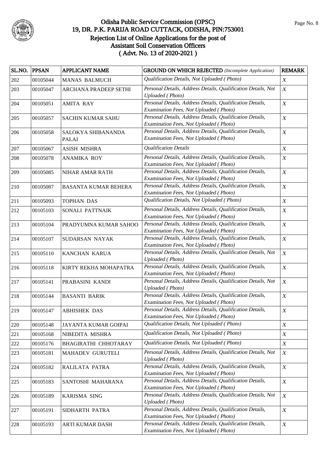

| SL.NO. | <b>PPSAN</b> | APPLICANT NAME                     | <b>GROUND ON WHICH REJECTED</b> (Incomplete Application)                                            | <b>REMARK</b>    |
|--------|--------------|------------------------------------|-----------------------------------------------------------------------------------------------------|------------------|
| 202    | 00105044     | <b>MANAS BALMUCH</b>               | Qualification Details, Not Uploaded (Photo)                                                         | $\boldsymbol{X}$ |
| 203    | 00105047     | ARCHANA PRADEEP SETHI              | Personal Details, Address Details, Qualification Details, Not<br><b>Uploaded</b> (Photo)            | $\boldsymbol{X}$ |
| 204    | 00105051     | <b>AMITA RAY</b>                   | Personal Details, Address Details, Qualification Details,<br>Examination Fees, Not Uploaded (Photo) | $\boldsymbol{X}$ |
| 205    | 00105057     | <b>SACHIN KUMAR SAHU</b>           | Personal Details, Address Details, Qualification Details,<br>Examination Fees, Not Uploaded (Photo) | $\boldsymbol{X}$ |
| 206    | 00105058     | SALOKYA SHIBANANDA<br><b>PALAI</b> | Personal Details, Address Details, Qualification Details,<br>Examination Fees, Not Uploaded (Photo) | $\boldsymbol{X}$ |
| 207    | 00105067     | ASISH MISHRA                       | <b>Qualification Details</b>                                                                        | $\boldsymbol{X}$ |
| 208    | 00105078     | <b>ANAMIKA ROY</b>                 | Personal Details, Address Details, Qualification Details,<br>Examination Fees, Not Uploaded (Photo) | $\boldsymbol{X}$ |
| 209    | 00105085     | NIHAR AMAR RATH                    | Personal Details, Address Details, Qualification Details,<br>Examination Fees, Not Uploaded (Photo) | $\boldsymbol{X}$ |
| 210    | 00105087     | <b>BASANTA KUMAR BEHERA</b>        | Personal Details, Address Details, Qualification Details,<br>Examination Fees, Not Uploaded (Photo) | $\boldsymbol{X}$ |
| 211    | 00105093     | TOPHAN DAS                         | Qualification Details, Not Uploaded (Photo)                                                         | $\boldsymbol{X}$ |
| 212    | 00105103     | SONALI PATTNAIK                    | Personal Details, Address Details, Qualification Details,<br>Examination Fees, Not Uploaded (Photo) | $\boldsymbol{X}$ |
| 213    | 00105104     | PRADYUMNA KUMAR SAHOO              | Personal Details, Address Details, Qualification Details,<br>Examination Fees, Not Uploaded (Photo) | $\boldsymbol{X}$ |
| 214    | 00105107     | SUDARSAN NAYAK                     | Personal Details, Address Details, Qualification Details,<br>Examination Fees, Not Uploaded (Photo) | $\boldsymbol{X}$ |
| 215    | 00105110     | KANCHAN KARUA                      | Personal Details, Address Details, Qualification Details, Not<br><b>Uploaded</b> (Photo)            | $\boldsymbol{X}$ |
| 216    | 00105118     | KIRTY REKHA MOHAPATRA              | Personal Details, Address Details, Qualification Details,<br>Examination Fees, Not Uploaded (Photo) | $\boldsymbol{X}$ |
| 217    | 00105141     | PRABASINI KANDI                    | Personal Details, Address Details, Qualification Details, Not<br><b>Uploaded</b> (Photo)            | $\boldsymbol{X}$ |
| 218    | 00105144     | <b>BASANTI BARIK</b>               | Personal Details, Address Details, Qualification Details,<br>Examination Fees, Not Uploaded (Photo) | $\boldsymbol{X}$ |
| 219    | 00105147     | <b>ABHISHEK DAS</b>                | Personal Details, Address Details, Qualification Details,<br>Examination Fees, Not Uploaded (Photo) | $\boldsymbol{X}$ |
| 220    | 00105148     | JAYANTA KUMAR GOIPAI               | Qualification Details, Not Uploaded (Photo)                                                         | $\boldsymbol{X}$ |
| 221    | 00105168     | NIBEDITA MISHRA                    | Qualification Details, Not Uploaded (Photo)                                                         | $\boldsymbol{X}$ |
| 222    | 00105176     | BHAGIRATHI CHHOTARAY               | Qualification Details, Not Uploaded (Photo)                                                         | $\boldsymbol{X}$ |
| 223    | 00105181     | MAHADEV GURUTELI                   | Personal Details, Address Details, Qualification Details, Not<br><b>Uploaded</b> (Photo)            | $\boldsymbol{X}$ |
| 224    | 00105182     | RALILATA PATRA                     | Personal Details, Address Details, Qualification Details,<br>Examination Fees, Not Uploaded (Photo) | $\boldsymbol{X}$ |
| 225    | 00105183     | SANTOSHI MAHARANA                  | Personal Details, Address Details, Qualification Details,<br>Examination Fees, Not Uploaded (Photo) | $\boldsymbol{X}$ |
| 226    | 00105189     | KARISMA SING                       | Personal Details, Address Details, Qualification Details, Not<br><b>Uploaded</b> (Photo)            | $\boldsymbol{X}$ |
| 227    | 00105191     | SIDHARTH PATRA                     | Personal Details, Address Details, Qualification Details,<br>Examination Fees, Not Uploaded (Photo) | $\boldsymbol{X}$ |
| 228    | 00105193     | ARTI KUMAR DASH                    | Personal Details, Address Details, Qualification Details,<br>Examination Fees, Not Uploaded (Photo) | $\boldsymbol{X}$ |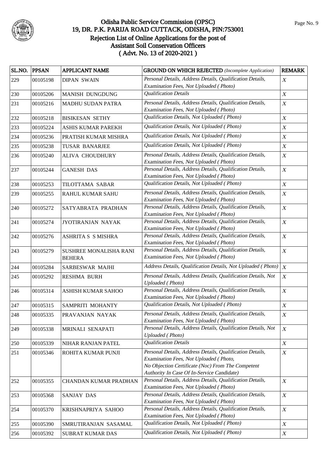

| SL.NO. PPSAN |          | <b>APPLICANT NAME</b>                   | <b>GROUND ON WHICH REJECTED</b> (Incomplete Application)                                                                                                                                               | <b>REMARK</b>    |
|--------------|----------|-----------------------------------------|--------------------------------------------------------------------------------------------------------------------------------------------------------------------------------------------------------|------------------|
| 229          | 00105198 | <b>DIPAN SWAIN</b>                      | Personal Details, Address Details, Qualification Details,<br>Examination Fees, Not Uploaded (Photo)                                                                                                    | $\boldsymbol{X}$ |
| 230          | 00105206 | <b>MANISH DUNGDUNG</b>                  | <b>Qualification Details</b>                                                                                                                                                                           | $\boldsymbol{X}$ |
| 231          | 00105216 | <b>MADHU SUDAN PATRA</b>                | Personal Details, Address Details, Qualification Details,<br>Examination Fees, Not Uploaded (Photo)                                                                                                    | $\boldsymbol{X}$ |
| 232          | 00105218 | <b>BISIKESAN SETHY</b>                  | Qualification Details, Not Uploaded (Photo)                                                                                                                                                            | $\boldsymbol{X}$ |
| 233          | 00105224 | ASHIS KUMAR PAREKH                      | Qualification Details, Not Uploaded (Photo)                                                                                                                                                            | $\boldsymbol{X}$ |
| 234          | 00105236 | PRATISH KUMAR MISHRA                    | Qualification Details, Not Uploaded (Photo)                                                                                                                                                            | $\boldsymbol{X}$ |
| 235          | 00105238 | <b>TUSAR BANARJEE</b>                   | Qualification Details, Not Uploaded (Photo)                                                                                                                                                            | $\boldsymbol{X}$ |
| 236          | 00105240 | <b>ALIVA CHOUDHURY</b>                  | Personal Details, Address Details, Qualification Details,<br>Examination Fees, Not Uploaded (Photo)                                                                                                    | $\boldsymbol{X}$ |
| 237          | 00105244 | <b>GANESH DAS</b>                       | Personal Details, Address Details, Qualification Details,<br>Examination Fees, Not Uploaded (Photo)                                                                                                    | $\boldsymbol{X}$ |
| 238          | 00105253 | TILOTTAMA SABAR                         | Qualification Details, Not Uploaded (Photo)                                                                                                                                                            | $\boldsymbol{X}$ |
| 239          | 00105255 | RAHUL KUMAR SAHU                        | Personal Details, Address Details, Qualification Details,<br>Examination Fees, Not Uploaded (Photo)                                                                                                    | $\boldsymbol{X}$ |
| 240          | 00105272 | SATYABRATA PRADHAN                      | Personal Details, Address Details, Qualification Details,<br>Examination Fees, Not Uploaded (Photo)                                                                                                    | $\boldsymbol{X}$ |
| 241          | 00105274 | JYOTIRANJAN NAYAK                       | Personal Details, Address Details, Qualification Details,<br>Examination Fees, Not Uploaded (Photo)                                                                                                    | $\boldsymbol{X}$ |
| 242          | 00105276 | ASHRITA S S MISHRA                      | Personal Details, Address Details, Qualification Details,<br>Examination Fees, Not Uploaded (Photo)                                                                                                    | $\boldsymbol{X}$ |
| 243          | 00105279 | SUSHREE MONALISHA RANI<br><b>BEHERA</b> | Personal Details, Address Details, Qualification Details,<br>Examination Fees, Not Uploaded (Photo)                                                                                                    | $\boldsymbol{X}$ |
| 244          | 00105284 | SARBESWAR MAJHI                         | Address Details, Qualification Details, Not Uploaded (Photo)                                                                                                                                           | X                |
| 245          | 00105292 | <b>RESHMA BURH</b>                      | Personal Details, Address Details, Qualification Details, Not<br><b>Uploaded</b> (Photo)                                                                                                               | $\boldsymbol{X}$ |
| 246          | 00105314 | <b>ASHISH KUMAR SAHOO</b>               | Personal Details, Address Details, Qualification Details,<br>Examination Fees, Not Uploaded (Photo)                                                                                                    | $\boldsymbol{X}$ |
| 247          | 00105315 | SAMPRITI MOHANTY                        | Qualification Details, Not Uploaded (Photo)                                                                                                                                                            | $\boldsymbol{X}$ |
| 248          | 00105335 | PRAVANJAN NAYAK                         | Personal Details, Address Details, Qualification Details,<br>Examination Fees, Not Uploaded (Photo)                                                                                                    | $\boldsymbol{X}$ |
| 249          | 00105338 | MRINALI SENAPATI                        | Personal Details, Address Details, Qualification Details, Not<br><b>Uploaded</b> (Photo)                                                                                                               | $\boldsymbol{X}$ |
| 250          | 00105339 | NIHAR RANJAN PATEL                      | <b>Qualification Details</b>                                                                                                                                                                           | $\boldsymbol{X}$ |
| 251          | 00105346 | ROHITA KUMAR PUNJI                      | Personal Details, Address Details, Qualification Details,<br>Examination Fees, Not Uploaded (Photo,<br>No Objection Certificate (Noc) From The Competent<br>Authority In Case Of In-Service Candidate) | $\boldsymbol{X}$ |
| 252          | 00105355 | <b>CHANDAN KUMAR PRADHAN</b>            | Personal Details, Address Details, Qualification Details,<br>Examination Fees, Not Uploaded (Photo)                                                                                                    | $\boldsymbol{X}$ |
| 253          | 00105368 | SANJAY DAS                              | Personal Details, Address Details, Qualification Details,<br>Examination Fees, Not Uploaded (Photo)                                                                                                    | $\boldsymbol{X}$ |
| 254          | 00105370 | KRISHNAPRIYA SAHOO                      | Personal Details, Address Details, Qualification Details,<br>Examination Fees, Not Uploaded (Photo)                                                                                                    | $\boldsymbol{X}$ |
| 255          | 00105390 | SMRUTIRANJAN SASAMAL                    | Qualification Details, Not Uploaded (Photo)                                                                                                                                                            | $\boldsymbol{X}$ |
| 256          | 00105392 | <b>SUBRAT KUMAR DAS</b>                 | Qualification Details, Not Uploaded (Photo)                                                                                                                                                            | $\boldsymbol{X}$ |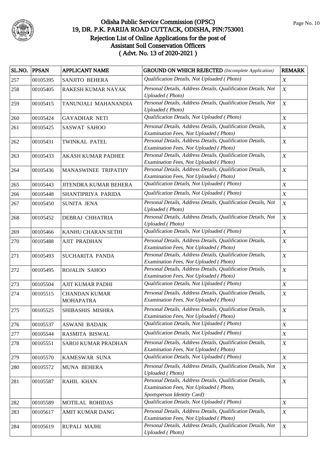

| SL.NO. PPSAN |          | <b>APPLICANT NAME</b>                    | <b>GROUND ON WHICH REJECTED</b> (Incomplete Application)                                                                           | <b>REMARK</b>    |
|--------------|----------|------------------------------------------|------------------------------------------------------------------------------------------------------------------------------------|------------------|
| 257          | 00105395 | SANJITO BEHERA                           | Qualification Details, Not Uploaded (Photo)                                                                                        | $\boldsymbol{X}$ |
| 258          | 00105405 | RAKESH KUMAR NAYAK                       | Personal Details, Address Details, Qualification Details, Not<br><b>Uploaded</b> (Photo)                                           | $\boldsymbol{X}$ |
| 259          | 00105415 | TANUNJALI MAHANANDIA                     | Personal Details, Address Details, Qualification Details, Not<br><b>Uploaded</b> (Photo)                                           | $\boldsymbol{X}$ |
| 260          | 00105424 | <b>GAYADHAR NETI</b>                     | Qualification Details, Not Uploaded (Photo)                                                                                        | $\boldsymbol{X}$ |
| 261          | 00105425 | SASWAT SAHOO                             | Personal Details, Address Details, Qualification Details,<br>Examination Fees, Not Uploaded (Photo)                                | $\boldsymbol{X}$ |
| 262          | 00105431 | TWINKAL PATEL                            | Personal Details, Address Details, Qualification Details,<br>Examination Fees, Not Uploaded (Photo)                                | $\boldsymbol{X}$ |
| 263          | 00105433 | <b>AKASH KUMAR PADHEE</b>                | Personal Details, Address Details, Qualification Details,<br>Examination Fees, Not Uploaded (Photo)                                | $\boldsymbol{X}$ |
| 264          | 00105436 | MANASWINEE TRIPATHY                      | Personal Details, Address Details, Qualification Details,<br>Examination Fees, Not Uploaded (Photo)                                | $\boldsymbol{X}$ |
| 265          | 00105443 | JITENDRA KUMAR BEHERA                    | Qualification Details, Not Uploaded (Photo)                                                                                        | $\boldsymbol{X}$ |
| 266          | 00105448 | SHANTIPRIYA PARIDA                       | Qualification Details, Not Uploaded (Photo)                                                                                        | $\boldsymbol{X}$ |
| 267          | 00105450 | SUNITA JENA                              | Personal Details, Address Details, Qualification Details, Not<br><b>Uploaded</b> (Photo)                                           | $\boldsymbol{X}$ |
| 268          | 00105452 | <b>DEBRAJ CHHATRIA</b>                   | Personal Details, Address Details, Qualification Details, Not<br><b>Uploaded</b> (Photo)                                           | $\boldsymbol{X}$ |
| 269          | 00105466 | KANHU CHARAN SETHI                       | Qualification Details, Not Uploaded (Photo)                                                                                        | $\boldsymbol{X}$ |
| 270          | 00105488 | <b>AJIT PRADHAN</b>                      | Personal Details, Address Details, Qualification Details,<br>Examination Fees, Not Uploaded (Photo)                                | $\boldsymbol{X}$ |
| 271          | 00105493 | SUCHARITA PANDA                          | Personal Details, Address Details, Qualification Details,<br>Examination Fees, Not Uploaded (Photo)                                | $\boldsymbol{X}$ |
| 272          | 00105495 | ROJALIN SAHOO                            | Personal Details, Address Details, Qualification Details,<br>Examination Fees, Not Uploaded (Photo)                                | $\boldsymbol{X}$ |
| 273          | 00105504 | AJIT KUMAR PADHI                         | Qualification Details, Not Uploaded (Photo)                                                                                        | $\boldsymbol{X}$ |
| 274          | 00105515 | <b>CHANDAN KUMAR</b><br><b>MOHAPATRA</b> | Personal Details, Address Details, Qualification Details,<br>Examination Fees, Not Uploaded (Photo)                                | $\boldsymbol{X}$ |
| 275          | 00105525 | SHIBASHIS MISHRA                         | Personal Details, Address Details, Qualification Details,<br>Examination Fees, Not Uploaded (Photo)                                | $\boldsymbol{X}$ |
| 276          | 00105537 | <b>ASWANI BADAIK</b>                     | Qualification Details, Not Uploaded (Photo)                                                                                        | $\boldsymbol{X}$ |
| 277          | 00105544 | RASMITA BISWAL                           | Qualification Details, Not Uploaded (Photo)                                                                                        | $\boldsymbol{X}$ |
| 278          | 00105551 | SAROJ KUMAR PRADHAN                      | Personal Details, Address Details, Qualification Details,<br>Examination Fees, Not Uploaded (Photo)                                | $\boldsymbol{X}$ |
| 279          | 00105570 | KAMESWAR SUNA                            | Qualification Details, Not Uploaded (Photo)                                                                                        | $\boldsymbol{X}$ |
| 280          | 00105572 | <b>MUNA BEHERA</b>                       | Personal Details, Address Details, Qualification Details, Not<br><b>Uploaded</b> (Photo)                                           | $\boldsymbol{X}$ |
| 281          | 00105587 | RAHIL KHAN                               | Personal Details, Address Details, Qualification Details,<br>Examination Fees, Not Uploaded (Photo,<br>Sportsperson Identity Card) | X                |
| 282          | 00105589 | MOTILAL ROHIDAS                          | Qualification Details, Not Uploaded (Photo)                                                                                        | $\boldsymbol{X}$ |
| 283          | 00105617 | AMIT KUMAR DANG                          | Personal Details, Address Details, Qualification Details,<br>Examination Fees, Not Uploaded (Photo)                                | X                |
| 284          | 00105619 | RUPALI MAJHI                             | Personal Details, Address Details, Qualification Details, Not<br><b>Uploaded</b> (Photo)                                           | $\boldsymbol{X}$ |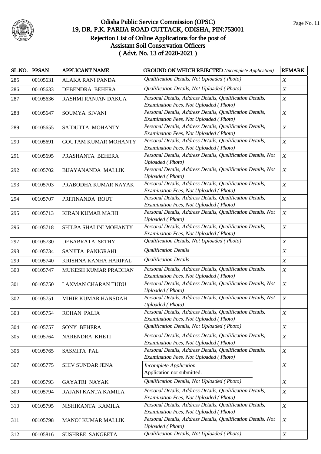

| SL.NO. | <b>PPSAN</b> | <b>APPLICANT NAME</b>       | <b>GROUND ON WHICH REJECTED</b> (Incomplete Application)                                                | <b>REMARK</b>    |
|--------|--------------|-----------------------------|---------------------------------------------------------------------------------------------------------|------------------|
| 285    | 00105631     | ALAKA RANI PANDA            | Qualification Details, Not Uploaded (Photo)                                                             | $\boldsymbol{X}$ |
| 286    | 00105633     | DEBENDRA BEHERA             | Qualification Details, Not Uploaded (Photo)                                                             | $\boldsymbol{X}$ |
| 287    | 00105636     | RASHMI RANJAN DAKUA         | Personal Details, Address Details, Qualification Details,                                               | $\boldsymbol{X}$ |
|        |              |                             | Examination Fees, Not Uploaded (Photo)                                                                  |                  |
| 288    | 00105647     | SOUMYA SIVANI               | Personal Details, Address Details, Qualification Details,                                               | $\boldsymbol{X}$ |
|        |              |                             | Examination Fees, Not Uploaded (Photo)                                                                  |                  |
| 289    | 00105655     | SAIDUTTA MOHANTY            | Personal Details, Address Details, Qualification Details,<br>Examination Fees, Not Uploaded (Photo)     | $\boldsymbol{X}$ |
| 290    | 00105691     | <b>GOUTAM KUMAR MOHANTY</b> | Personal Details, Address Details, Qualification Details,                                               | $\boldsymbol{X}$ |
|        |              |                             | Examination Fees, Not Uploaded (Photo)                                                                  |                  |
| 291    | 00105695     | PRASHANTA BEHERA            | Personal Details, Address Details, Qualification Details, Not<br><b>Uploaded</b> (Photo)                | $\boldsymbol{X}$ |
| 292    | 00105702     | <b>BIJAYANANDA MALLIK</b>   | Personal Details, Address Details, Qualification Details, Not<br><b>Uploaded</b> (Photo)                | $\boldsymbol{X}$ |
| 293    | 00105703     | PRABODHA KUMAR NAYAK        | Personal Details, Address Details, Qualification Details,                                               | $\boldsymbol{X}$ |
|        |              |                             | Examination Fees, Not Uploaded (Photo)                                                                  |                  |
| 294    | 00105707     | PRITINANDA ROUT             | Personal Details, Address Details, Qualification Details,                                               | $\boldsymbol{X}$ |
|        |              |                             | Examination Fees, Not Uploaded (Photo)                                                                  |                  |
| 295    | 00105713     | <b>KIRAN KUMAR MAJHI</b>    | Personal Details, Address Details, Qualification Details, Not<br><b>Uploaded</b> (Photo)                | $\boldsymbol{X}$ |
| 296    | 00105718     | SHILPA SHALINI MOHANTY      | Personal Details, Address Details, Qualification Details,                                               | $\boldsymbol{X}$ |
|        |              |                             | Examination Fees, Not Uploaded (Photo)                                                                  |                  |
| 297    | 00105730     | <b>DEBABRATA SETHY</b>      | Qualification Details, Not Uploaded (Photo)                                                             | $\boldsymbol{X}$ |
| 298    | 00105734     | SANJITA PANIGRAHI           | <b>Qualification Details</b>                                                                            | $\boldsymbol{X}$ |
| 299    | 00105740     | KRISHNA KANHA HARIPAL       | <b>Qualification Details</b>                                                                            | $\boldsymbol{X}$ |
| 300    | 00105747     | MUKESH KUMAR PRADHAN        | Personal Details, Address Details, Qualification Details,                                               | $\boldsymbol{X}$ |
|        |              |                             | Examination Fees, Not Uploaded (Photo)                                                                  |                  |
| 301    | 00105750     | <b>LAXMAN CHARAN TUDU</b>   | Personal Details, Address Details, Qualification Details, Not                                           | $\boldsymbol{X}$ |
|        |              |                             | <b>Uploaded</b> (Photo)                                                                                 |                  |
| 302    | 00105751     | MIHIR KUMAR HANSDAH         | Personal Details, Address Details, Qualification Details, Not<br><b>Uploaded</b> (Photo)                | $\boldsymbol{X}$ |
| 303    | 00105754     | ROHAN PALIA                 | Personal Details, Address Details, Qualification Details,                                               | $\boldsymbol{X}$ |
|        |              |                             | Examination Fees, Not Uploaded (Photo)                                                                  |                  |
| 304    | 00105757     | <b>SONY BEHERA</b>          | Qualification Details, Not Uploaded (Photo)                                                             | $\boldsymbol{X}$ |
| 305    | 00105764     | NARENDRA KHETI              | Personal Details, Address Details, Qualification Details,                                               | $\boldsymbol{X}$ |
|        |              |                             | Examination Fees, Not Uploaded (Photo)                                                                  |                  |
| 306    | 00105765     | SASMITA PAL                 | Personal Details, Address Details, Qualification Details,<br>Examination Fees, Not Uploaded (Photo)     | $\boldsymbol{X}$ |
| 307    | 00105775     | SHIV SUNDAR JENA            | Incomplete Application                                                                                  | $\boldsymbol{X}$ |
|        |              |                             | Application not submitted.                                                                              |                  |
| 308    | 00105793     | <b>GAYATRI NAYAK</b>        | Qualification Details, Not Uploaded (Photo)                                                             | $\boldsymbol{X}$ |
| 309    | 00105794     | RAJANI KANTA KAMILA         | Personal Details, Address Details, Qualification Details,                                               | $\boldsymbol{X}$ |
|        |              |                             | Examination Fees, Not Uploaded (Photo)                                                                  |                  |
| 310    | 00105795     | NISHIKANTA KAMILA           | Personal Details, Address Details, Qualification Details,                                               | $\boldsymbol{X}$ |
|        |              |                             | Examination Fees, Not Uploaded (Photo)<br>Personal Details, Address Details, Qualification Details, Not | $\boldsymbol{X}$ |
| 311    | 00105798     | MANOJ KUMAR MALLIK          | <b>Uploaded</b> (Photo)                                                                                 |                  |
| 312    | 00105816     | SUSHREE SANGEETA            | Qualification Details, Not Uploaded (Photo)                                                             | $\boldsymbol{X}$ |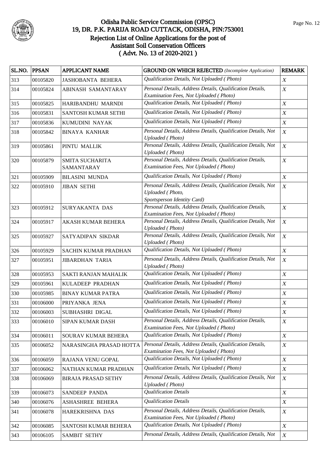

| SL.NO. | <b>PPSAN</b> | <b>APPLICANT NAME</b>         | <b>GROUND ON WHICH REJECTED</b> (Incomplete Application)                                                         | <b>REMARK</b>    |
|--------|--------------|-------------------------------|------------------------------------------------------------------------------------------------------------------|------------------|
| 313    | 00105820     | <b>JASHOBANTA BEHERA</b>      | Qualification Details, Not Uploaded (Photo)                                                                      | $\boldsymbol{X}$ |
| 314    | 00105824     | ABINASH SAMANTARAY            | Personal Details, Address Details, Qualification Details,<br>Examination Fees, Not Uploaded (Photo)              | $\boldsymbol{X}$ |
| 315    | 00105825     | HARIBANDHU MARNDI             | Qualification Details, Not Uploaded (Photo)                                                                      | $\boldsymbol{X}$ |
| 316    | 00105831     | SANTOSH KUMAR SETHI           | Qualification Details, Not Uploaded (Photo)                                                                      | X                |
| 317    | 00105836     | KUMUDINI NAYAK                | Qualification Details, Not Uploaded (Photo)                                                                      | $\boldsymbol{X}$ |
| 318    | 00105842     | <b>BINAYA KANHAR</b>          | Personal Details, Address Details, Qualification Details, Not<br><b>Uploaded</b> (Photo)                         | $\boldsymbol{X}$ |
| 319    | 00105861     | PINTU MALLIK                  | Personal Details, Address Details, Qualification Details, Not<br><b>Uploaded</b> (Photo)                         | $\boldsymbol{X}$ |
| 320    | 00105879     | SMITA SUCHARITA<br>SAMANTARAY | Personal Details, Address Details, Qualification Details,<br>Examination Fees, Not Uploaded (Photo)              | $\boldsymbol{X}$ |
| 321    | 00105909     | <b>BILASINI MUNDA</b>         | Qualification Details, Not Uploaded (Photo)                                                                      | $\boldsymbol{X}$ |
| 322    | 00105910     | <b>JIBAN SETHI</b>            | Personal Details, Address Details, Qualification Details, Not<br>Uploaded (Photo,<br>Sportsperson Identity Card) | $\boldsymbol{X}$ |
| 323    | 00105912     | <b>SURYAKANTA DAS</b>         | Personal Details, Address Details, Qualification Details,<br>Examination Fees, Not Uploaded (Photo)              | $\boldsymbol{X}$ |
| 324    | 00105917     | AKASH KUMAR BEHERA            | Personal Details, Address Details, Qualification Details, Not<br>Uploaded (Photo)                                | $\boldsymbol{X}$ |
| 325    | 00105927     | SATYADIPAN SIKDAR             | Personal Details, Address Details, Qualification Details, Not<br><b>Uploaded</b> (Photo)                         | $\boldsymbol{X}$ |
| 326    | 00105929     | SACHIN KUMAR PRADHAN          | Qualification Details, Not Uploaded (Photo)                                                                      | $\boldsymbol{X}$ |
| 327    | 00105951     | <b>JIBARDHAN TARIA</b>        | Personal Details, Address Details, Qualification Details, Not<br><b>Uploaded</b> (Photo)                         | $\boldsymbol{X}$ |
| 328    | 00105953     | SAKTI RANJAN MAHALIK          | Qualification Details, Not Uploaded (Photo)                                                                      | $\boldsymbol{X}$ |
| 329    | 00105961     | KULADEEP PRADHAN              | Qualification Details, Not Uploaded (Photo)                                                                      | $\boldsymbol{X}$ |
| 330    | 00105985     | <b>BINAY KUMAR PATRA</b>      | Qualification Details, Not Uploaded (Photo)                                                                      | $\boldsymbol{X}$ |
| 331    | 00106000     | PRIYANKA JENA                 | Qualification Details, Not Uploaded (Photo)                                                                      | $\boldsymbol{X}$ |
| 332    | 00106003     | SUBHASHRI DIGAL               | Qualification Details, Not Uploaded (Photo)                                                                      | $\boldsymbol{X}$ |
| 333    | 00106010     | SIPAN KUMAR DASH              | Personal Details, Address Details, Qualification Details,<br>Examination Fees, Not Uploaded (Photo)              | $\boldsymbol{X}$ |
| 334    | 00106011     | SOURAV KUMAR BEHERA           | Qualification Details, Not Uploaded (Photo)                                                                      | $\boldsymbol{X}$ |
| 335    | 00106052     | NARASINGHA PRASAD HOTTA       | Personal Details, Address Details, Qualification Details,<br>Examination Fees, Not Uploaded (Photo)              | $\boldsymbol{X}$ |
| 336    | 00106059     | RAJANA VENU GOPAL             | Qualification Details, Not Uploaded (Photo)                                                                      | $\boldsymbol{X}$ |
| 337    | 00106062     | NATHAN KUMAR PRADHAN          | Qualification Details, Not Uploaded (Photo)                                                                      | $\boldsymbol{X}$ |
| 338    | 00106069     | <b>BIRAJA PRASAD SETHY</b>    | Personal Details, Address Details, Qualification Details, Not<br><b>Uploaded</b> (Photo)                         | $\boldsymbol{X}$ |
| 339    | 00106073     | SANDEEP PANDA                 | <b>Qualification Details</b>                                                                                     | $\boldsymbol{X}$ |
| 340    | 00106076     | <b>ASHASHREE BEHERA</b>       | <b>Qualification Details</b>                                                                                     | $\boldsymbol{X}$ |
| 341    | 00106078     | HAREKRISHNA DAS               | Personal Details, Address Details, Qualification Details,<br>Examination Fees, Not Uploaded (Photo)              | $\boldsymbol{X}$ |
| 342    | 00106085     | SANTOSH KUMAR BEHERA          | Qualification Details, Not Uploaded (Photo)                                                                      | $\boldsymbol{X}$ |
| 343    | 00106105     | <b>SAMBIT SETHY</b>           | Personal Details, Address Details, Qualification Details, Not                                                    | $\boldsymbol{X}$ |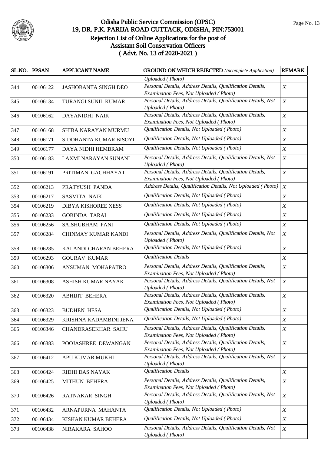

|     | SL.NO. PPSAN | <b>APPLICANT NAME</b>       | <b>GROUND ON WHICH REJECTED</b> (Incomplete Application)                                            | <b>REMARK</b>    |
|-----|--------------|-----------------------------|-----------------------------------------------------------------------------------------------------|------------------|
|     |              |                             | <b>Uploaded</b> (Photo)                                                                             |                  |
| 344 | 00106122     | <b>JASHOBANTA SINGH DEO</b> | Personal Details, Address Details, Qualification Details,<br>Examination Fees, Not Uploaded (Photo) | $\boldsymbol{X}$ |
| 345 | 00106134     | TURANGI SUNIL KUMAR         | Personal Details, Address Details, Qualification Details, Not<br><b>Uploaded</b> (Photo)            | $\boldsymbol{X}$ |
| 346 | 00106162     | DAYANIDHI NAIK              | Personal Details, Address Details, Qualification Details,<br>Examination Fees, Not Uploaded (Photo) | $\boldsymbol{X}$ |
| 347 | 00106168     | SHIBA NARAYAN MURMU         | Qualification Details, Not Uploaded (Photo)                                                         | $\boldsymbol{X}$ |
| 348 | 00106171     | SIDDHANTA KUMAR BISOYI      | Qualification Details, Not Uploaded (Photo)                                                         | $\boldsymbol{X}$ |
| 349 | 00106177     | DAYA NIDHI HEMBRAM          | Qualification Details, Not Uploaded (Photo)                                                         | $\boldsymbol{X}$ |
| 350 | 00106183     | LAXMI NARAYAN SUNANI        | Personal Details, Address Details, Qualification Details, Not<br><b>Uploaded</b> (Photo)            | $\boldsymbol{X}$ |
| 351 | 00106191     | PRITIMAN GACHHAYAT          | Personal Details, Address Details, Qualification Details,<br>Examination Fees, Not Uploaded (Photo) | $\boldsymbol{X}$ |
| 352 | 00106213     | PRATYUSH PANDA              | Address Details, Qualification Details, Not Uploaded (Photo)                                        | $\boldsymbol{X}$ |
| 353 | 00106217     | <b>SASMITA NAIK</b>         | Qualification Details, Not Uploaded (Photo)                                                         | $\boldsymbol{X}$ |
| 354 | 00106219     | DIBYA KISHOREE XESS         | Qualification Details, Not Uploaded (Photo)                                                         | $\boldsymbol{X}$ |
| 355 | 00106233     | <b>GOBINDA TARAI</b>        | Qualification Details, Not Uploaded (Photo)                                                         | $\boldsymbol{X}$ |
| 356 | 00106256     | SAISHUBHAM PANI             | Qualification Details, Not Uploaded (Photo)                                                         | $\boldsymbol{X}$ |
| 357 | 00106284     | <b>CHINMAY KUMAR KANDI</b>  | Personal Details, Address Details, Qualification Details, Not<br><b>Uploaded</b> (Photo)            | $\boldsymbol{X}$ |
| 358 | 00106285     | KALANDI CHARAN BEHERA       | Qualification Details, Not Uploaded (Photo)                                                         | $\boldsymbol{X}$ |
| 359 | 00106293     | <b>GOURAV KUMAR</b>         | <b>Qualification Details</b>                                                                        | $\boldsymbol{X}$ |
| 360 | 00106306     | ANSUMAN MOHAPATRO           | Personal Details, Address Details, Qualification Details,<br>Examination Fees, Not Uploaded (Photo) | $\boldsymbol{X}$ |
| 361 | 00106308     | ASHISH KUMAR NAYAK          | Personal Details, Address Details, Qualification Details, Not<br><b>Uploaded</b> (Photo)            | $\boldsymbol{X}$ |
| 362 | 00106320     | <b>ABHIJIT BEHERA</b>       | Personal Details, Address Details, Qualification Details,<br>Examination Fees, Not Uploaded (Photo) | $\boldsymbol{X}$ |
| 363 | 00106323     | <b>BUDHEN HESA</b>          | Qualification Details, Not Uploaded (Photo)                                                         | $\boldsymbol{X}$ |
| 364 | 00106329     | KRISHNA KADAMBINI JENA      | Qualification Details, Not Uploaded (Photo)                                                         | $\boldsymbol{X}$ |
| 365 | 00106346     | CHANDRASEKHAR SAHU          | Personal Details, Address Details, Qualification Details,<br>Examination Fees, Not Uploaded (Photo) | $\boldsymbol{X}$ |
| 366 | 00106383     | POOJASHREE DEWANGAN         | Personal Details, Address Details, Qualification Details,<br>Examination Fees, Not Uploaded (Photo) | $\boldsymbol{X}$ |
| 367 | 00106412     | APU KUMAR MUKHI             | Personal Details, Address Details, Qualification Details, Not<br><b>Uploaded</b> (Photo)            | $\boldsymbol{X}$ |
| 368 | 00106424     | RIDHI DAS NAYAK             | <b>Qualification Details</b>                                                                        | $\boldsymbol{X}$ |
| 369 | 00106425     | <b>MITHUN BEHERA</b>        | Personal Details, Address Details, Qualification Details,<br>Examination Fees, Not Uploaded (Photo) | $\boldsymbol{X}$ |
| 370 | 00106426     | RATNAKAR SINGH              | Personal Details, Address Details, Qualification Details, Not<br><b>Uploaded</b> (Photo)            | $\boldsymbol{X}$ |
| 371 | 00106432     | ARNAPURNA MAHANTA           | Qualification Details, Not Uploaded (Photo)                                                         | $\boldsymbol{X}$ |
| 372 | 00106434     | KISHAN KUMAR BEHERA         | Qualification Details, Not Uploaded (Photo)                                                         | $\boldsymbol{X}$ |
| 373 | 00106438     | NIRAKARA SAHOO              | Personal Details, Address Details, Qualification Details, Not<br><b>Uploaded</b> (Photo)            | $\boldsymbol{X}$ |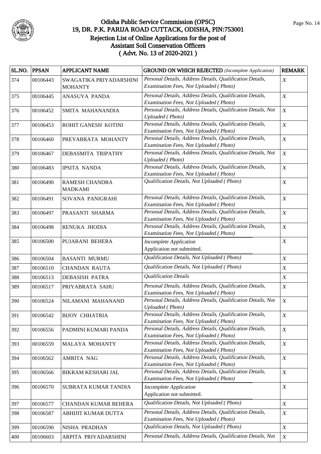

|     | SL.NO. PPSAN | <b>APPLICANT NAME</b>                     | <b>GROUND ON WHICH REJECTED</b> (Incomplete Application)                                            | <b>REMARK</b>    |
|-----|--------------|-------------------------------------------|-----------------------------------------------------------------------------------------------------|------------------|
| 374 | 00106443     | SWAGATIKA PRIYADARSHINI<br><b>MOHANTY</b> | Personal Details, Address Details, Qualification Details,<br>Examination Fees, Not Uploaded (Photo) | X                |
| 375 | 00106445     | ANASUYA PANDA                             | Personal Details, Address Details, Qualification Details,<br>Examination Fees, Not Uploaded (Photo) | X                |
| 376 | 00106452     | SMITA MAHANANDIA                          | Personal Details, Address Details, Qualification Details, Not<br><b>Uploaded</b> (Photo)            | $\boldsymbol{X}$ |
| 377 | 00106453     | ROHIT GANESH KOTINI                       | Personal Details, Address Details, Qualification Details,<br>Examination Fees, Not Uploaded (Photo) | $\boldsymbol{X}$ |
| 378 | 00106460     | PREYABRATA MOHANTY                        | Personal Details, Address Details, Qualification Details,<br>Examination Fees, Not Uploaded (Photo) | $\boldsymbol{X}$ |
| 379 | 00106467     | DEBASMITA TRIPATHY                        | Personal Details, Address Details, Qualification Details, Not<br><b>Uploaded</b> (Photo)            | $\boldsymbol{X}$ |
| 380 | 00106483     | <b>IPSITA NANDA</b>                       | Personal Details, Address Details, Qualification Details,<br>Examination Fees, Not Uploaded (Photo) | $\boldsymbol{X}$ |
| 381 | 00106490     | RAMESH CHANDRA<br><b>MADKAMI</b>          | Qualification Details, Not Uploaded (Photo)                                                         | $\boldsymbol{X}$ |
| 382 | 00106491     | SOVANA PANIGRAHI                          | Personal Details, Address Details, Qualification Details,<br>Examination Fees, Not Uploaded (Photo) | $\boldsymbol{X}$ |
| 383 | 00106497     | PRASANTI SHARMA                           | Personal Details, Address Details, Qualification Details,<br>Examination Fees, Not Uploaded (Photo) | $\boldsymbol{X}$ |
| 384 | 00106498     | RENUKA JHODIA                             | Personal Details, Address Details, Qualification Details,<br>Examination Fees, Not Uploaded (Photo) | $\boldsymbol{X}$ |
| 385 | 00106500     | PUJARANI BEHERA                           | <b>Incomplete Application</b><br>Application not submitted.                                         | $\boldsymbol{X}$ |
| 386 | 00106504     | <b>BASANTI MURMU</b>                      | Qualification Details, Not Uploaded (Photo)                                                         | X                |
| 387 | 00106510     | <b>CHANDAN RAUTA</b>                      | Qualification Details, Not Uploaded (Photo)                                                         | X                |
| 388 | 00106513     | <b>DEBASISH PATRA</b>                     | <b>Qualification Details</b>                                                                        | $\boldsymbol{X}$ |
| 389 | 00106517     | PRIYABRATA SAHU                           | Personal Details, Address Details, Qualification Details,<br>Examination Fees, Not Uploaded (Photo) | $\boldsymbol{X}$ |
| 390 | 00106524     | NILAMANI MAHANAND                         | Personal Details, Address Details, Qualification Details, Not<br>Uploaded (Photo)                   | $\boldsymbol{X}$ |
| 391 | 00106542     | <b>BIJOY CHHATRIA</b>                     | Personal Details, Address Details, Qualification Details,<br>Examination Fees, Not Uploaded (Photo) | $\boldsymbol{X}$ |
| 392 | 00106556     | PADMINI KUMARI PANDA                      | Personal Details, Address Details, Qualification Details,<br>Examination Fees, Not Uploaded (Photo) | $\boldsymbol{X}$ |
| 393 | 00106559     | MALAYA MOHANTY                            | Personal Details, Address Details, Qualification Details,<br>Examination Fees, Not Uploaded (Photo) | $\boldsymbol{X}$ |
| 394 | 00106562     | <b>AMRITA NAG</b>                         | Personal Details, Address Details, Qualification Details,<br>Examination Fees, Not Uploaded (Photo) | $\boldsymbol{X}$ |
| 395 | 00106566     | BIKRAM KESHARI JAL                        | Personal Details, Address Details, Qualification Details,<br>Examination Fees, Not Uploaded (Photo) | $\boldsymbol{X}$ |
| 396 | 00106570     | SUBRATA KUMAR TANDIA                      | Incomplete Application<br>Application not submitted.                                                | $\boldsymbol{X}$ |
| 397 | 00106577     | CHANDAN KUMAR BEHERA                      | Qualification Details, Not Uploaded (Photo)                                                         | $\boldsymbol{X}$ |
| 398 | 00106587     | ABHIJIT KUMAR DUTTA                       | Personal Details, Address Details, Qualification Details,<br>Examination Fees, Not Uploaded (Photo) | $\boldsymbol{X}$ |
| 399 | 00106590     | NISHA PRADHAN                             | Qualification Details, Not Uploaded (Photo)                                                         | $\boldsymbol{X}$ |
| 400 | 00106603     | ARPITA PRIYADARSHINI                      | Personal Details, Address Details, Qualification Details, Not                                       | $\boldsymbol{X}$ |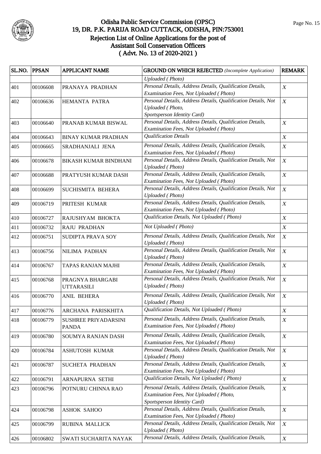

|     | SL.NO. PPSAN | <b>APPLICANT NAME</b>                 | <b>GROUND ON WHICH REJECTED</b> (Incomplete Application)                                                                           | <b>REMARK</b>    |
|-----|--------------|---------------------------------------|------------------------------------------------------------------------------------------------------------------------------------|------------------|
|     |              |                                       | <b>Uploaded</b> (Photo)                                                                                                            |                  |
| 401 | 00106608     | PRANAYA PRADHAN                       | Personal Details, Address Details, Qualification Details,<br>Examination Fees, Not Uploaded (Photo)                                | $\boldsymbol{X}$ |
| 402 | 00106636     | HEMANTA PATRA                         | Personal Details, Address Details, Qualification Details, Not<br>Uploaded (Photo,<br>Sportsperson Identity Card)                   | $\boldsymbol{X}$ |
| 403 | 00106640     | PRANAB KUMAR BISWAL                   | Personal Details, Address Details, Qualification Details,<br>Examination Fees, Not Uploaded (Photo)                                | $\boldsymbol{X}$ |
| 404 | 00106643     | <b>BINAY KUMAR PRADHAN</b>            | <b>Qualification Details</b>                                                                                                       | $\boldsymbol{X}$ |
| 405 | 00106665     | SRADHANJALI JENA                      | Personal Details, Address Details, Qualification Details,<br>Examination Fees, Not Uploaded (Photo)                                | $\boldsymbol{X}$ |
| 406 | 00106678     | <b>BIKASH KUMAR BINDHANI</b>          | Personal Details, Address Details, Qualification Details, Not<br><b>Uploaded</b> (Photo)                                           | $\boldsymbol{X}$ |
| 407 | 00106688     | PRATYUSH KUMAR DASH                   | Personal Details, Address Details, Qualification Details,<br>Examination Fees, Not Uploaded (Photo)                                | $\boldsymbol{X}$ |
| 408 | 00106699     | SUCHISMITA BEHERA                     | Personal Details, Address Details, Qualification Details, Not<br><b>Uploaded</b> (Photo)                                           | $\boldsymbol{X}$ |
| 409 | 00106719     | PRITESH KUMAR                         | Personal Details, Address Details, Qualification Details,<br>Examination Fees, Not Uploaded (Photo)                                | $\boldsymbol{X}$ |
| 410 | 00106727     | RAJUSHYAM BHOKTA                      | Qualification Details, Not Uploaded (Photo)                                                                                        | $\boldsymbol{X}$ |
| 411 | 00106732     | RAJU PRADHAN                          | Not Uploaded (Photo)                                                                                                               | $\boldsymbol{X}$ |
| 412 | 00106751     | SUDIPTA PRAVA SOY                     | Personal Details, Address Details, Qualification Details, Not<br><b>Uploaded</b> (Photo)                                           | $\boldsymbol{X}$ |
| 413 | 00106756     | NILIMA PADHAN                         | Personal Details, Address Details, Qualification Details, Not<br><b>Uploaded</b> (Photo)                                           | $\boldsymbol{X}$ |
| 414 | 00106767     | TAPAS RANJAN MAJHI                    | Personal Details, Address Details, Qualification Details,<br>Examination Fees, Not Uploaded (Photo)                                | $\boldsymbol{X}$ |
| 415 | 00106768     | PRAGNYA BHARGABI<br><b>UTTARASILI</b> | Personal Details, Address Details, Qualification Details, Not<br><b>Uploaded</b> (Photo)                                           | $\boldsymbol{X}$ |
| 416 | 00106770     | ANIL BEHERA                           | Personal Details, Address Details, Qualification Details, Not<br><b>Uploaded</b> (Photo)                                           | $\boldsymbol{X}$ |
| 417 | 00106776     | ARCHANA PARISKHITA                    | Qualification Details, Not Uploaded (Photo)                                                                                        | $\boldsymbol{X}$ |
| 418 | 00106779     | SUSHREE PRIYADARSINI<br><b>PANDA</b>  | Personal Details, Address Details, Qualification Details,<br>Examination Fees, Not Uploaded (Photo)                                | $\boldsymbol{X}$ |
| 419 | 00106780     | <b>SOUMYA RANJAN DASH</b>             | Personal Details, Address Details, Qualification Details,<br>Examination Fees, Not Uploaded (Photo)                                | $\boldsymbol{X}$ |
| 420 | 00106784     | ASHUTOSH KUMAR                        | Personal Details, Address Details, Qualification Details, Not<br><b>Uploaded</b> (Photo)                                           | $\boldsymbol{X}$ |
| 421 | 00106787     | SUCHETA PRADHAN                       | Personal Details, Address Details, Qualification Details,<br>Examination Fees, Not Uploaded (Photo)                                | $\boldsymbol{X}$ |
| 422 | 00106791     | ARNAPURNA SETHI                       | Qualification Details, Not Uploaded (Photo)                                                                                        | $\boldsymbol{X}$ |
| 423 | 00106796     | POTNURU CHINNA RAO                    | Personal Details, Address Details, Qualification Details,<br>Examination Fees, Not Uploaded (Photo,<br>Sportsperson Identity Card) | $\boldsymbol{X}$ |
| 424 | 00106798     | <b>ASHOK SAHOO</b>                    | Personal Details, Address Details, Qualification Details,<br>Examination Fees, Not Uploaded (Photo)                                | $\boldsymbol{X}$ |
| 425 | 00106799     | RUBINA MALLICK                        | Personal Details, Address Details, Qualification Details, Not<br><b>Uploaded</b> (Photo)                                           | $\boldsymbol{X}$ |
| 426 | 00106802     | SWATI SUCHARITA NAYAK                 | Personal Details, Address Details, Qualification Details,                                                                          | $\boldsymbol{X}$ |